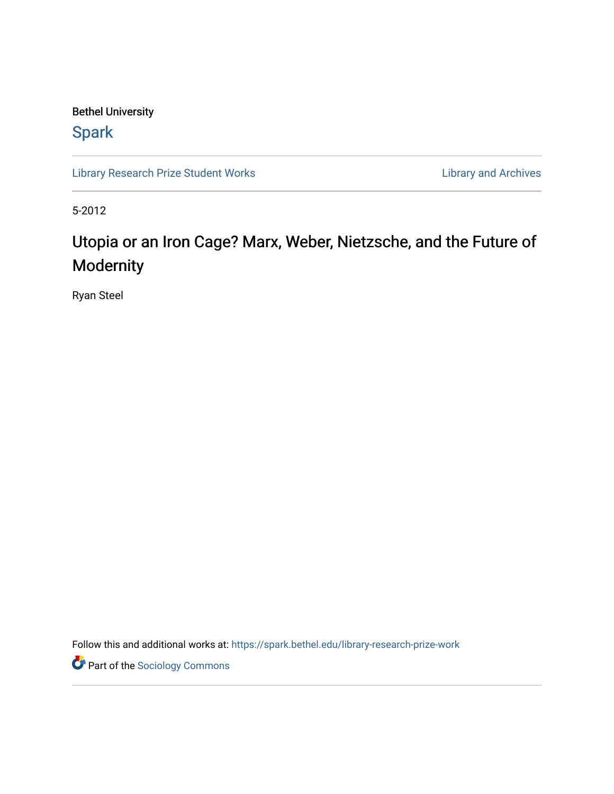### Bethel University

## [Spark](https://spark.bethel.edu/)

[Library Research Prize Student Works](https://spark.bethel.edu/library-research-prize-work) **Library Archives** Library and Archives

5-2012

# Utopia or an Iron Cage? Marx, Weber, Nietzsche, and the Future of Modernity

Ryan Steel

Follow this and additional works at: [https://spark.bethel.edu/library-research-prize-work](https://spark.bethel.edu/library-research-prize-work?utm_source=spark.bethel.edu%2Flibrary-research-prize-work%2F13&utm_medium=PDF&utm_campaign=PDFCoverPages) 

**Part of the [Sociology Commons](http://network.bepress.com/hgg/discipline/416?utm_source=spark.bethel.edu%2Flibrary-research-prize-work%2F13&utm_medium=PDF&utm_campaign=PDFCoverPages)**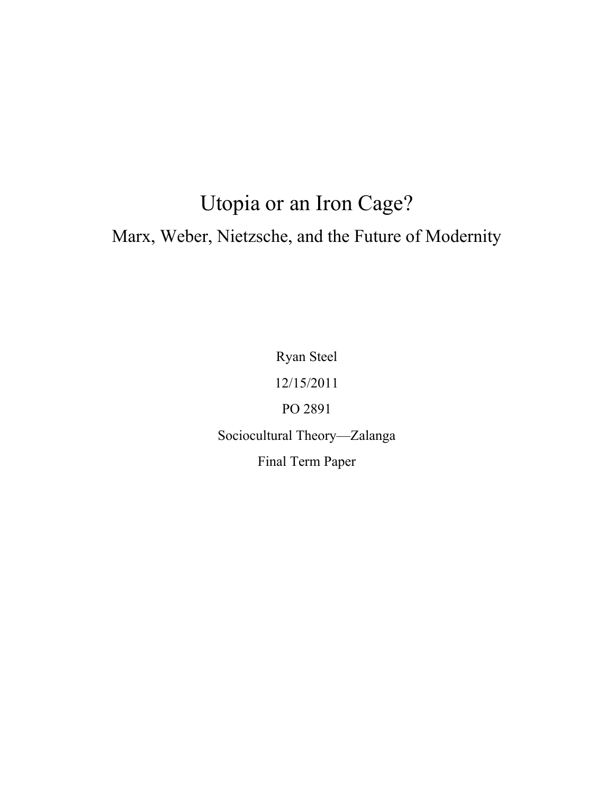# Utopia or an Iron Cage? Marx, Weber, Nietzsche, and the Future of Modernity

Ryan Steel

12/15/2011

PO 2891

Sociocultural Theory—Zalanga Final Term Paper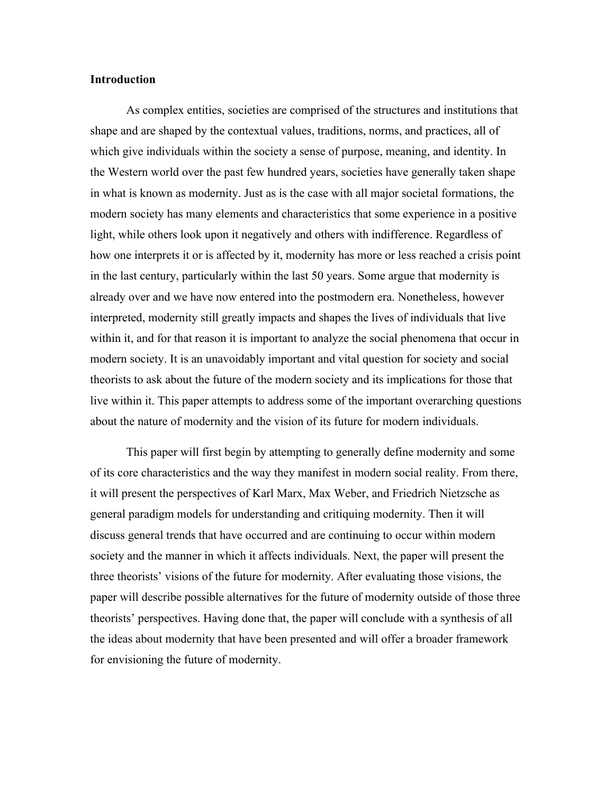#### **Introduction**

As complex entities, societies are comprised of the structures and institutions that shape and are shaped by the contextual values, traditions, norms, and practices, all of which give individuals within the society a sense of purpose, meaning, and identity. In the Western world over the past few hundred years, societies have generally taken shape in what is known as modernity. Just as is the case with all major societal formations, the modern society has many elements and characteristics that some experience in a positive light, while others look upon it negatively and others with indifference. Regardless of how one interprets it or is affected by it, modernity has more or less reached a crisis point in the last century, particularly within the last 50 years. Some argue that modernity is already over and we have now entered into the postmodern era. Nonetheless, however interpreted, modernity still greatly impacts and shapes the lives of individuals that live within it, and for that reason it is important to analyze the social phenomena that occur in modern society. It is an unavoidably important and vital question for society and social theorists to ask about the future of the modern society and its implications for those that live within it. This paper attempts to address some of the important overarching questions about the nature of modernity and the vision of its future for modern individuals.

This paper will first begin by attempting to generally define modernity and some of its core characteristics and the way they manifest in modern social reality. From there, it will present the perspectives of Karl Marx, Max Weber, and Friedrich Nietzsche as general paradigm models for understanding and critiquing modernity. Then it will discuss general trends that have occurred and are continuing to occur within modern society and the manner in which it affects individuals. Next, the paper will present the three theorists' visions of the future for modernity. After evaluating those visions, the paper will describe possible alternatives for the future of modernity outside of those three theorists' perspectives. Having done that, the paper will conclude with a synthesis of all the ideas about modernity that have been presented and will offer a broader framework for envisioning the future of modernity.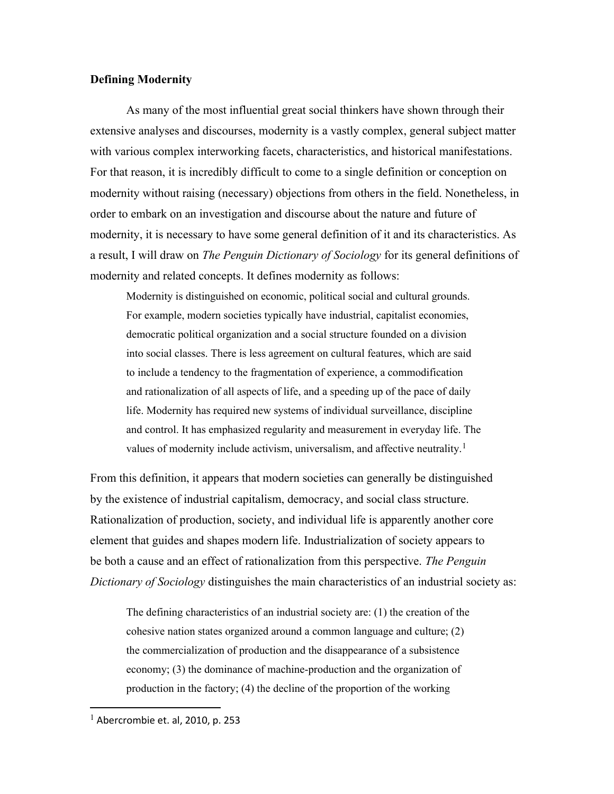#### **Defining Modernity**

As many of the most influential great social thinkers have shown through their extensive analyses and discourses, modernity is a vastly complex, general subject matter with various complex interworking facets, characteristics, and historical manifestations. For that reason, it is incredibly difficult to come to a single definition or conception on modernity without raising (necessary) objections from others in the field. Nonetheless, in order to embark on an investigation and discourse about the nature and future of modernity, it is necessary to have some general definition of it and its characteristics. As a result, I will draw on *The Penguin Dictionary of Sociology* for its general definitions of modernity and related concepts. It defines modernity as follows:

Modernity is distinguished on economic, political social and cultural grounds. For example, modern societies typically have industrial, capitalist economies, democratic political organization and a social structure founded on a division into social classes. There is less agreement on cultural features, which are said to include a tendency to the fragmentation of experience, a commodification and rationalization of all aspects of life, and a speeding up of the pace of daily life. Modernity has required new systems of individual surveillance, discipline and control. It has emphasized regularity and measurement in everyday life. The values of modernity include activism, universalism, and affective neutrality.<sup>1</sup>

From this definition, it appears that modern societies can generally be distinguished by the existence of industrial capitalism, democracy, and social class structure. Rationalization of production, society, and individual life is apparently another core element that guides and shapes modern life. Industrialization of society appears to be both a cause and an effect of rationalization from this perspective. *The Penguin Dictionary of Sociology* distinguishes the main characteristics of an industrial society as:

The defining characteristics of an industrial society are: (1) the creation of the cohesive nation states organized around a common language and culture; (2) the commercialization of production and the disappearance of a subsistence economy; (3) the dominance of machine-production and the organization of production in the factory; (4) the decline of the proportion of the working

 $<sup>1</sup>$  Abercrombie et. al, 2010, p. 253</sup>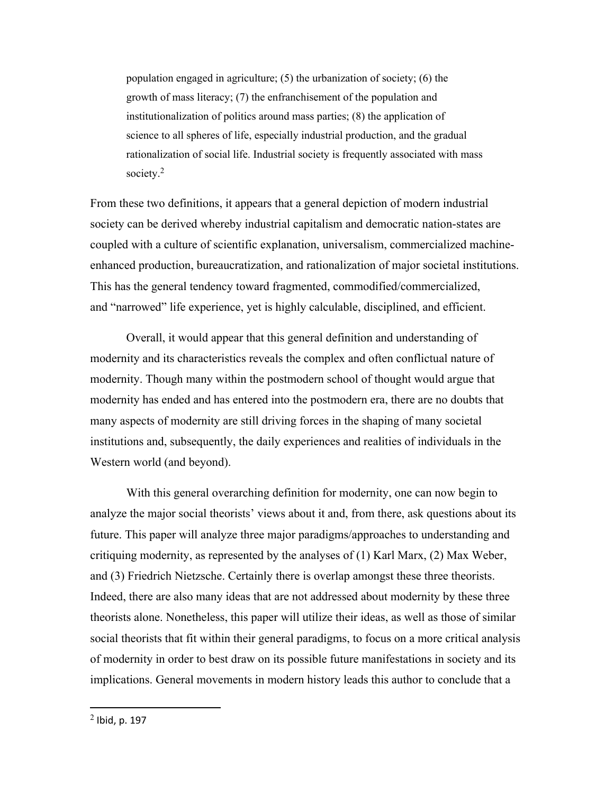population engaged in agriculture; (5) the urbanization of society; (6) the growth of mass literacy; (7) the enfranchisement of the population and institutionalization of politics around mass parties; (8) the application of science to all spheres of life, especially industrial production, and the gradual rationalization of social life. Industrial society is frequently associated with mass society.<sup>2</sup>

From these two definitions, it appears that a general depiction of modern industrial society can be derived whereby industrial capitalism and democratic nation-states are coupled with a culture of scientific explanation, universalism, commercialized machineenhanced production, bureaucratization, and rationalization of major societal institutions. This has the general tendency toward fragmented, commodified/commercialized, and "narrowed" life experience, yet is highly calculable, disciplined, and efficient.

Overall, it would appear that this general definition and understanding of modernity and its characteristics reveals the complex and often conflictual nature of modernity. Though many within the postmodern school of thought would argue that modernity has ended and has entered into the postmodern era, there are no doubts that many aspects of modernity are still driving forces in the shaping of many societal institutions and, subsequently, the daily experiences and realities of individuals in the Western world (and beyond).

With this general overarching definition for modernity, one can now begin to analyze the major social theorists' views about it and, from there, ask questions about its future. This paper will analyze three major paradigms/approaches to understanding and critiquing modernity, as represented by the analyses of (1) Karl Marx, (2) Max Weber, and (3) Friedrich Nietzsche. Certainly there is overlap amongst these three theorists. Indeed, there are also many ideas that are not addressed about modernity by these three theorists alone. Nonetheless, this paper will utilize their ideas, as well as those of similar social theorists that fit within their general paradigms, to focus on a more critical analysis of modernity in order to best draw on its possible future manifestations in society and its implications. General movements in modern history leads this author to conclude that a

 $^2$  Ibid, p. 197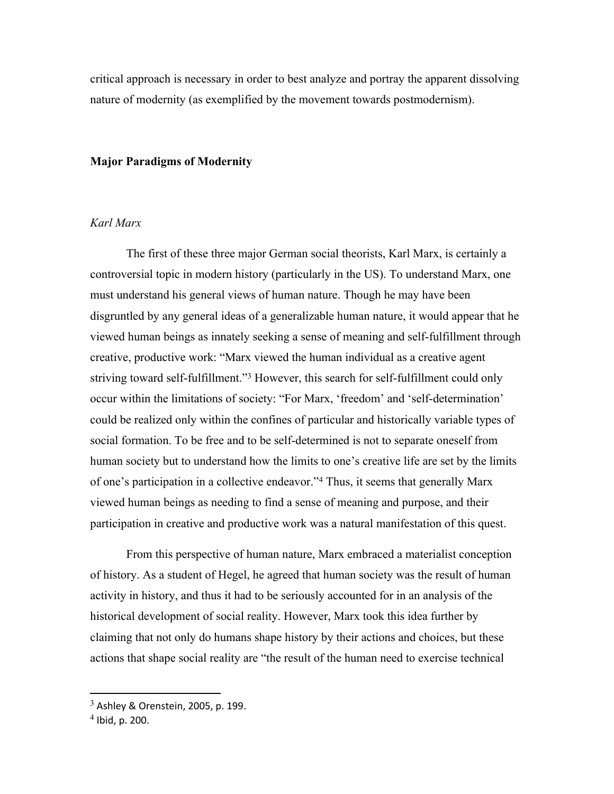critical approach is necessary in order to best analyze and portray the apparent dissolving nature of modernity (as exemplified by the movement towards postmodernism).

#### **Major Paradigms of Modernity**

#### *Karl Marx*

The first of these three major German social theorists, Karl Marx, is certainly a controversial topic in modern history (particularly in the US). To understand Marx, one must understand his general views of human nature. Though he may have been disgruntled by any general ideas of a generalizable human nature, it would appear that he viewed human beings as innately seeking a sense of meaning and self-fulfillment through creative, productive work: "Marx viewed the human individual as a creative agent striving toward self-fulfillment."<sup>3</sup> However, this search for self-fulfillment could only occur within the limitations of society: "For Marx, 'freedom' and 'self-determination' could be realized only within the confines of particular and historically variable types of social formation. To be free and to be self-determined is not to separate oneself from human society but to understand how the limits to one's creative life are set by the limits of one's participation in a collective endeavor."<sup>4</sup> Thus, it seems that generally Marx viewed human beings as needing to find a sense of meaning and purpose, and their participation in creative and productive work was a natural manifestation of this quest.

From this perspective of human nature, Marx embraced a materialist conception of history. As a student of Hegel, he agreed that human society was the result of human activity in history, and thus it had to be seriously accounted for in an analysis of the historical development of social reality. However, Marx took this idea further by claiming that not only do humans shape history by their actions and choices, but these actions that shape social reality are "the result of the human need to exercise technical

 $^3$  Ashley & Orenstein, 2005, p. 199.

<sup>4</sup> Ibid, p. 200.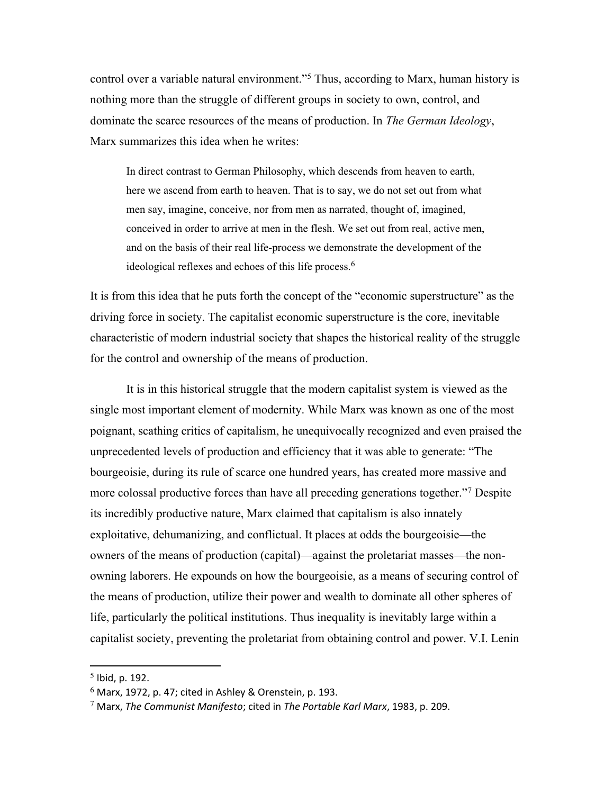control over a variable natural environment."<sup>5</sup> Thus, according to Marx, human history is nothing more than the struggle of different groups in society to own, control, and dominate the scarce resources of the means of production. In *The German Ideology*, Marx summarizes this idea when he writes:

In direct contrast to German Philosophy, which descends from heaven to earth, here we ascend from earth to heaven. That is to say, we do not set out from what men say, imagine, conceive, nor from men as narrated, thought of, imagined, conceived in order to arrive at men in the flesh. We set out from real, active men, and on the basis of their real life-process we demonstrate the development of the ideological reflexes and echoes of this life process.<sup>6</sup>

It is from this idea that he puts forth the concept of the "economic superstructure" as the driving force in society. The capitalist economic superstructure is the core, inevitable characteristic of modern industrial society that shapes the historical reality of the struggle for the control and ownership of the means of production.

It is in this historical struggle that the modern capitalist system is viewed as the single most important element of modernity. While Marx was known as one of the most poignant, scathing critics of capitalism, he unequivocally recognized and even praised the unprecedented levels of production and efficiency that it was able to generate: "The bourgeoisie, during its rule of scarce one hundred years, has created more massive and more colossal productive forces than have all preceding generations together."<sup>7</sup> Despite its incredibly productive nature, Marx claimed that capitalism is also innately exploitative, dehumanizing, and conflictual. It places at odds the bourgeoisie—the owners of the means of production (capital)—against the proletariat masses—the nonowning laborers. He expounds on how the bourgeoisie, as a means of securing control of the means of production, utilize their power and wealth to dominate all other spheres of life, particularly the political institutions. Thus inequality is inevitably large within a capitalist society, preventing the proletariat from obtaining control and power. V.I. Lenin

 $<sup>5</sup>$  Ibid, p. 192.</sup>

 $^6$  Marx, 1972, p. 47; cited in Ashley & Orenstein, p. 193.

<sup>7</sup> Marx, *The Communist Manifesto*; cited in *The Portable Karl Marx*, 1983, p. 209.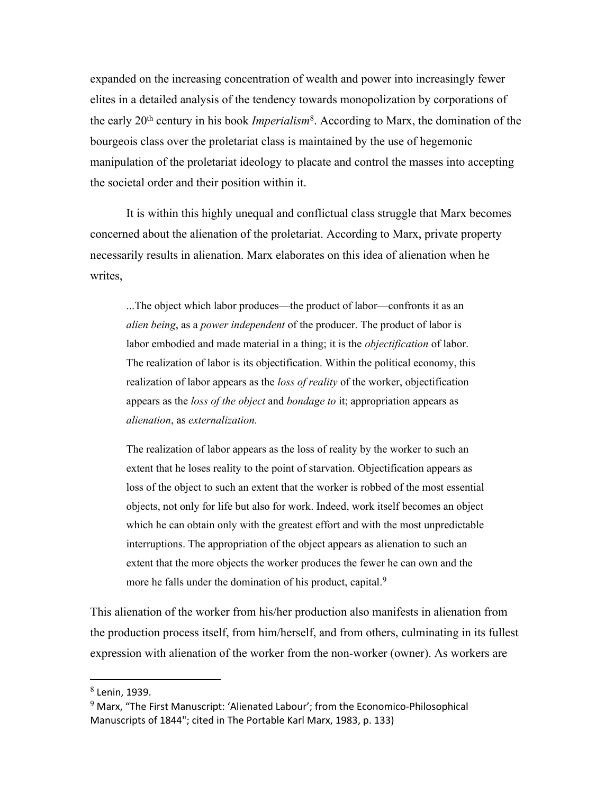expanded on the increasing concentration of wealth and power into increasingly fewer elites in a detailed analysis of the tendency towards monopolization by corporations of the early 20th century in his book *Imperialism*<sup>8</sup> . According to Marx, the domination of the bourgeois class over the proletariat class is maintained by the use of hegemonic manipulation of the proletariat ideology to placate and control the masses into accepting the societal order and their position within it.

It is within this highly unequal and conflictual class struggle that Marx becomes concerned about the alienation of the proletariat. According to Marx, private property necessarily results in alienation. Marx elaborates on this idea of alienation when he writes,

...The object which labor produces—the product of labor—confronts it as an *alien being*, as a *power independent* of the producer. The product of labor is labor embodied and made material in a thing; it is the *objectification* of labor. The realization of labor is its objectification. Within the political economy, this realization of labor appears as the *loss of reality* of the worker, objectification appears as the *loss of the object* and *bondage to* it; appropriation appears as *alienation*, as *externalization.* 

The realization of labor appears as the loss of reality by the worker to such an extent that he loses reality to the point of starvation. Objectification appears as loss of the object to such an extent that the worker is robbed of the most essential objects, not only for life but also for work. Indeed, work itself becomes an object which he can obtain only with the greatest effort and with the most unpredictable interruptions. The appropriation of the object appears as alienation to such an extent that the more objects the worker produces the fewer he can own and the more he falls under the domination of his product, capital.<sup>9</sup>

This alienation of the worker from his/her production also manifests in alienation from the production process itself, from him/herself, and from others, culminating in its fullest expression with alienation of the worker from the non-worker (owner). As workers are

 $<sup>8</sup>$  Lenin, 1939.</sup>

<sup>&</sup>lt;sup>9</sup> Marx, "The First Manuscript: 'Alienated Labour'; from the Economico-Philosophical Manuscripts of 1844"; cited in The Portable Karl Marx, 1983, p. 133)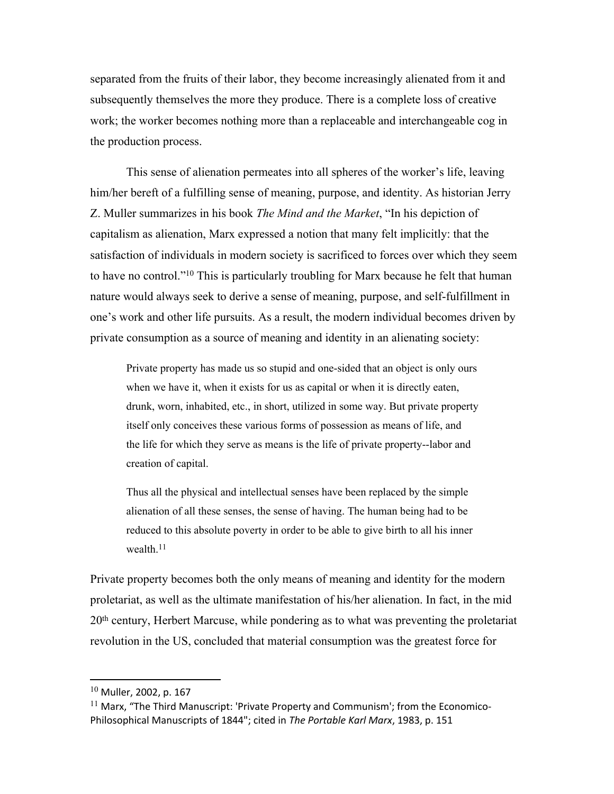separated from the fruits of their labor, they become increasingly alienated from it and subsequently themselves the more they produce. There is a complete loss of creative work; the worker becomes nothing more than a replaceable and interchangeable cog in the production process.

This sense of alienation permeates into all spheres of the worker's life, leaving him/her bereft of a fulfilling sense of meaning, purpose, and identity. As historian Jerry Z. Muller summarizes in his book *The Mind and the Market*, "In his depiction of capitalism as alienation, Marx expressed a notion that many felt implicitly: that the satisfaction of individuals in modern society is sacrificed to forces over which they seem to have no control."<sup>10</sup> This is particularly troubling for Marx because he felt that human nature would always seek to derive a sense of meaning, purpose, and self-fulfillment in one's work and other life pursuits. As a result, the modern individual becomes driven by private consumption as a source of meaning and identity in an alienating society:

Private property has made us so stupid and one-sided that an object is only ours when we have it, when it exists for us as capital or when it is directly eaten, drunk, worn, inhabited, etc., in short, utilized in some way. But private property itself only conceives these various forms of possession as means of life, and the life for which they serve as means is the life of private property--labor and creation of capital.

Thus all the physical and intellectual senses have been replaced by the simple alienation of all these senses, the sense of having. The human being had to be reduced to this absolute poverty in order to be able to give birth to all his inner wealth  $11$ 

Private property becomes both the only means of meaning and identity for the modern proletariat, as well as the ultimate manifestation of his/her alienation. In fact, in the mid 20th century, Herbert Marcuse, while pondering as to what was preventing the proletariat revolution in the US, concluded that material consumption was the greatest force for

 $10$  Muller, 2002, p. 167

 $11$  Marx, "The Third Manuscript: 'Private Property and Communism'; from the Economico-Philosophical Manuscripts of 1844"; cited in *The Portable Karl Marx*, 1983, p. 151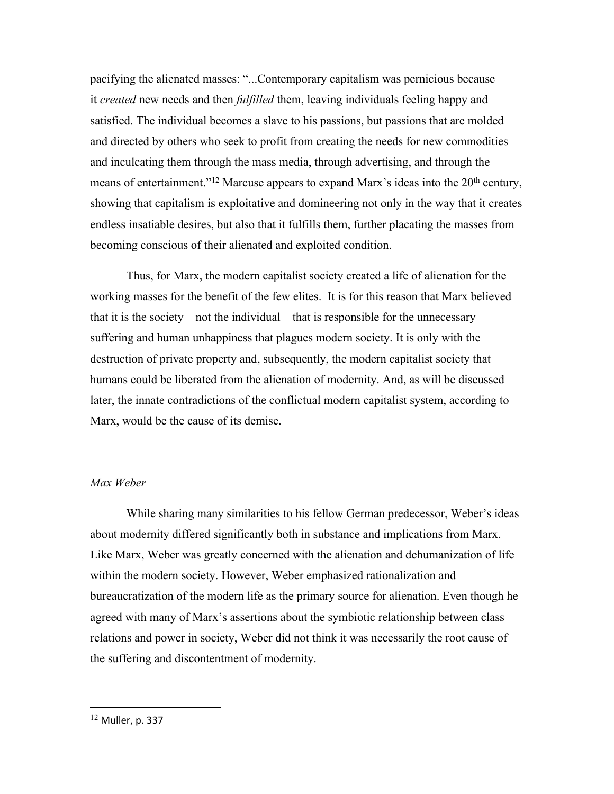pacifying the alienated masses: "...Contemporary capitalism was pernicious because it *created* new needs and then *fulfilled* them, leaving individuals feeling happy and satisfied. The individual becomes a slave to his passions, but passions that are molded and directed by others who seek to profit from creating the needs for new commodities and inculcating them through the mass media, through advertising, and through the means of entertainment."<sup>12</sup> Marcuse appears to expand Marx's ideas into the 20<sup>th</sup> century, showing that capitalism is exploitative and domineering not only in the way that it creates endless insatiable desires, but also that it fulfills them, further placating the masses from becoming conscious of their alienated and exploited condition.

Thus, for Marx, the modern capitalist society created a life of alienation for the working masses for the benefit of the few elites. It is for this reason that Marx believed that it is the society—not the individual—that is responsible for the unnecessary suffering and human unhappiness that plagues modern society. It is only with the destruction of private property and, subsequently, the modern capitalist society that humans could be liberated from the alienation of modernity. And, as will be discussed later, the innate contradictions of the conflictual modern capitalist system, according to Marx, would be the cause of its demise.

#### *Max Weber*

While sharing many similarities to his fellow German predecessor, Weber's ideas about modernity differed significantly both in substance and implications from Marx. Like Marx, Weber was greatly concerned with the alienation and dehumanization of life within the modern society. However, Weber emphasized rationalization and bureaucratization of the modern life as the primary source for alienation. Even though he agreed with many of Marx's assertions about the symbiotic relationship between class relations and power in society, Weber did not think it was necessarily the root cause of the suffering and discontentment of modernity.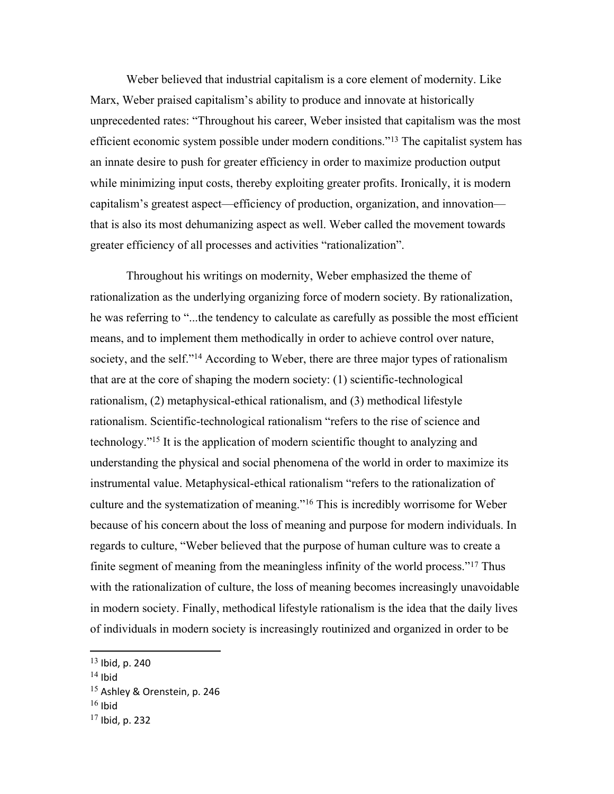Weber believed that industrial capitalism is a core element of modernity. Like Marx, Weber praised capitalism's ability to produce and innovate at historically unprecedented rates: "Throughout his career, Weber insisted that capitalism was the most efficient economic system possible under modern conditions.<sup>"13</sup> The capitalist system has an innate desire to push for greater efficiency in order to maximize production output while minimizing input costs, thereby exploiting greater profits. Ironically, it is modern capitalism's greatest aspect—efficiency of production, organization, and innovation that is also its most dehumanizing aspect as well. Weber called the movement towards greater efficiency of all processes and activities "rationalization".

Throughout his writings on modernity, Weber emphasized the theme of rationalization as the underlying organizing force of modern society. By rationalization, he was referring to "...the tendency to calculate as carefully as possible the most efficient means, and to implement them methodically in order to achieve control over nature, society, and the self."<sup>14</sup> According to Weber, there are three major types of rationalism that are at the core of shaping the modern society: (1) scientific-technological rationalism, (2) metaphysical-ethical rationalism, and (3) methodical lifestyle rationalism. Scientific-technological rationalism "refers to the rise of science and technology."<sup>15</sup> It is the application of modern scientific thought to analyzing and understanding the physical and social phenomena of the world in order to maximize its instrumental value. Metaphysical-ethical rationalism "refers to the rationalization of culture and the systematization of meaning."<sup>16</sup> This is incredibly worrisome for Weber because of his concern about the loss of meaning and purpose for modern individuals. In regards to culture, "Weber believed that the purpose of human culture was to create a finite segment of meaning from the meaningless infinity of the world process."<sup>17</sup> Thus with the rationalization of culture, the loss of meaning becomes increasingly unavoidable in modern society. Finally, methodical lifestyle rationalism is the idea that the daily lives of individuals in modern society is increasingly routinized and organized in order to be

 $14$  Ibid

- $16$  Ibid
- $17$  Ibid, p. 232

<sup>13</sup> Ibid, p. 240

<sup>&</sup>lt;sup>15</sup> Ashley & Orenstein, p. 246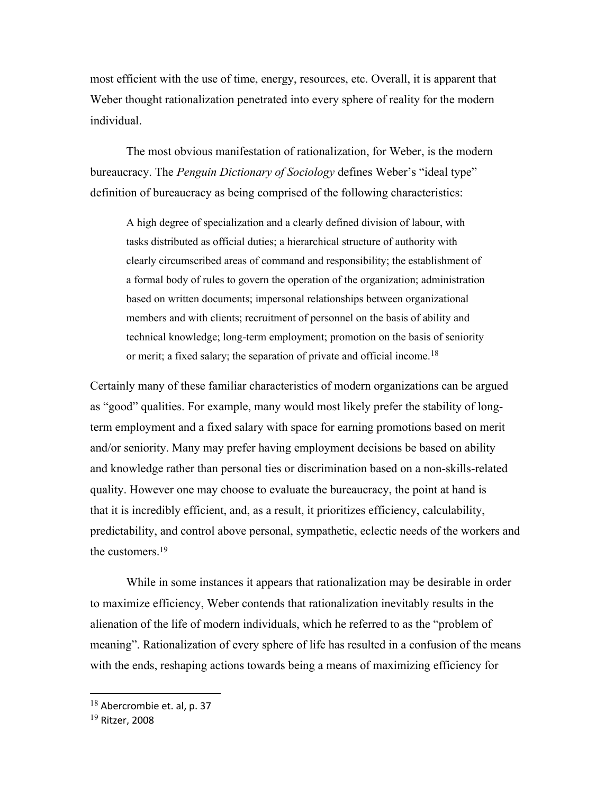most efficient with the use of time, energy, resources, etc. Overall, it is apparent that Weber thought rationalization penetrated into every sphere of reality for the modern individual.

The most obvious manifestation of rationalization, for Weber, is the modern bureaucracy. The *Penguin Dictionary of Sociology* defines Weber's "ideal type" definition of bureaucracy as being comprised of the following characteristics:

A high degree of specialization and a clearly defined division of labour, with tasks distributed as official duties; a hierarchical structure of authority with clearly circumscribed areas of command and responsibility; the establishment of a formal body of rules to govern the operation of the organization; administration based on written documents; impersonal relationships between organizational members and with clients; recruitment of personnel on the basis of ability and technical knowledge; long-term employment; promotion on the basis of seniority or merit; a fixed salary; the separation of private and official income.<sup>18</sup>

Certainly many of these familiar characteristics of modern organizations can be argued as "good" qualities. For example, many would most likely prefer the stability of longterm employment and a fixed salary with space for earning promotions based on merit and/or seniority. Many may prefer having employment decisions be based on ability and knowledge rather than personal ties or discrimination based on a non-skills-related quality. However one may choose to evaluate the bureaucracy, the point at hand is that it is incredibly efficient, and, as a result, it prioritizes efficiency, calculability, predictability, and control above personal, sympathetic, eclectic needs of the workers and the customers<sup>19</sup>

While in some instances it appears that rationalization may be desirable in order to maximize efficiency, Weber contends that rationalization inevitably results in the alienation of the life of modern individuals, which he referred to as the "problem of meaning". Rationalization of every sphere of life has resulted in a confusion of the means with the ends, reshaping actions towards being a means of maximizing efficiency for

<sup>18</sup> Abercrombie et. al, p. 37

<sup>19</sup> Ritzer, 2008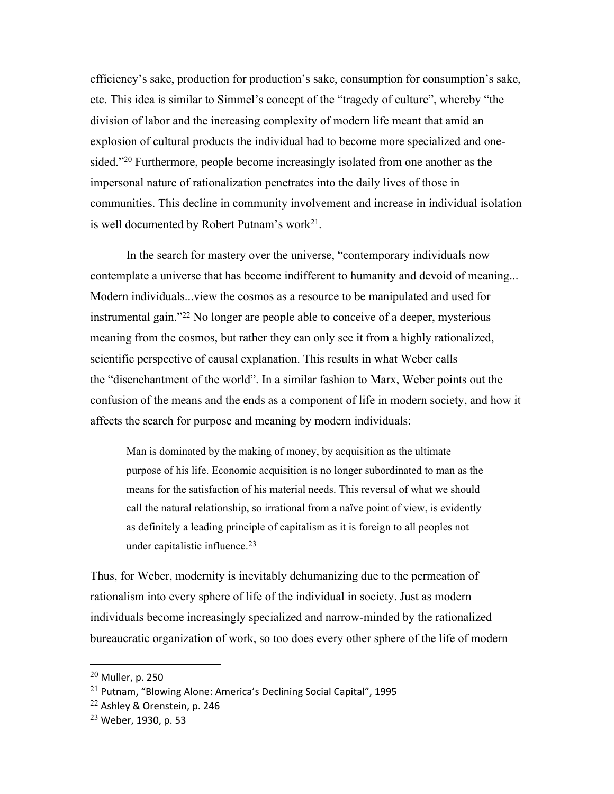efficiency's sake, production for production's sake, consumption for consumption's sake, etc. This idea is similar to Simmel's concept of the "tragedy of culture", whereby "the division of labor and the increasing complexity of modern life meant that amid an explosion of cultural products the individual had to become more specialized and onesided."<sup>20</sup> Furthermore, people become increasingly isolated from one another as the impersonal nature of rationalization penetrates into the daily lives of those in communities. This decline in community involvement and increase in individual isolation is well documented by Robert Putnam's work<sup>21</sup>.

In the search for mastery over the universe, "contemporary individuals now contemplate a universe that has become indifferent to humanity and devoid of meaning... Modern individuals...view the cosmos as a resource to be manipulated and used for instrumental gain."<sup>22</sup> No longer are people able to conceive of a deeper, mysterious meaning from the cosmos, but rather they can only see it from a highly rationalized, scientific perspective of causal explanation. This results in what Weber calls the "disenchantment of the world". In a similar fashion to Marx, Weber points out the confusion of the means and the ends as a component of life in modern society, and how it affects the search for purpose and meaning by modern individuals:

Man is dominated by the making of money, by acquisition as the ultimate purpose of his life. Economic acquisition is no longer subordinated to man as the means for the satisfaction of his material needs. This reversal of what we should call the natural relationship, so irrational from a naïve point of view, is evidently as definitely a leading principle of capitalism as it is foreign to all peoples not under capitalistic influence. $23$ 

Thus, for Weber, modernity is inevitably dehumanizing due to the permeation of rationalism into every sphere of life of the individual in society. Just as modern individuals become increasingly specialized and narrow-minded by the rationalized bureaucratic organization of work, so too does every other sphere of the life of modern

 $20$  Muller, p. 250

 $21$  Putnam, "Blowing Alone: America's Declining Social Capital", 1995

<sup>22</sup> Ashley & Orenstein, p. 246

<sup>23</sup> Weber, 1930, p. 53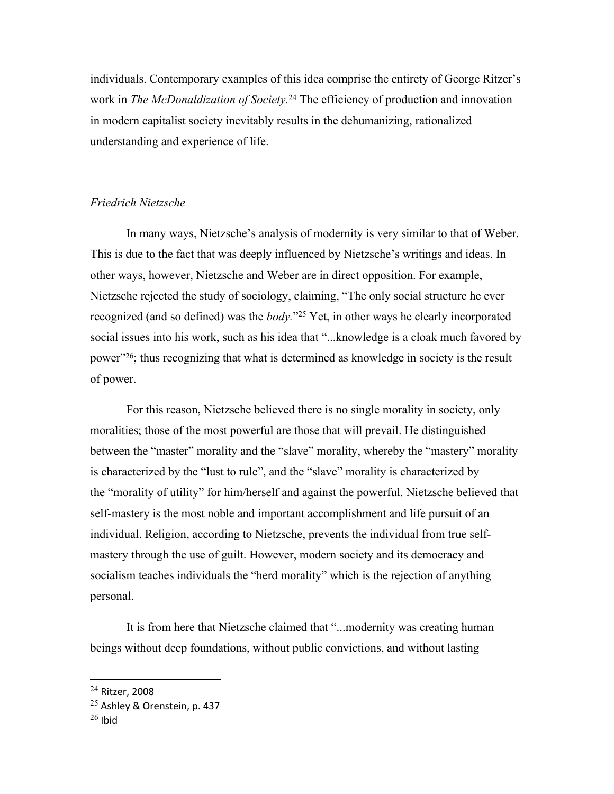individuals. Contemporary examples of this idea comprise the entirety of George Ritzer's work in *The McDonaldization of Society.*<sup>24</sup> The efficiency of production and innovation in modern capitalist society inevitably results in the dehumanizing, rationalized understanding and experience of life.

#### *Friedrich Nietzsche*

In many ways, Nietzsche's analysis of modernity is very similar to that of Weber. This is due to the fact that was deeply influenced by Nietzsche's writings and ideas. In other ways, however, Nietzsche and Weber are in direct opposition. For example, Nietzsche rejected the study of sociology, claiming, "The only social structure he ever recognized (and so defined) was the *body.*" <sup>25</sup> Yet, in other ways he clearly incorporated social issues into his work, such as his idea that "...knowledge is a cloak much favored by power"<sup>26</sup>; thus recognizing that what is determined as knowledge in society is the result of power.

For this reason, Nietzsche believed there is no single morality in society, only moralities; those of the most powerful are those that will prevail. He distinguished between the "master" morality and the "slave" morality, whereby the "mastery" morality is characterized by the "lust to rule", and the "slave" morality is characterized by the "morality of utility" for him/herself and against the powerful. Nietzsche believed that self-mastery is the most noble and important accomplishment and life pursuit of an individual. Religion, according to Nietzsche, prevents the individual from true selfmastery through the use of guilt. However, modern society and its democracy and socialism teaches individuals the "herd morality" which is the rejection of anything personal.

It is from here that Nietzsche claimed that "...modernity was creating human beings without deep foundations, without public convictions, and without lasting

<sup>24</sup> Ritzer, 2008

 $25$  Ashley & Orenstein, p. 437

 $26$  Ibid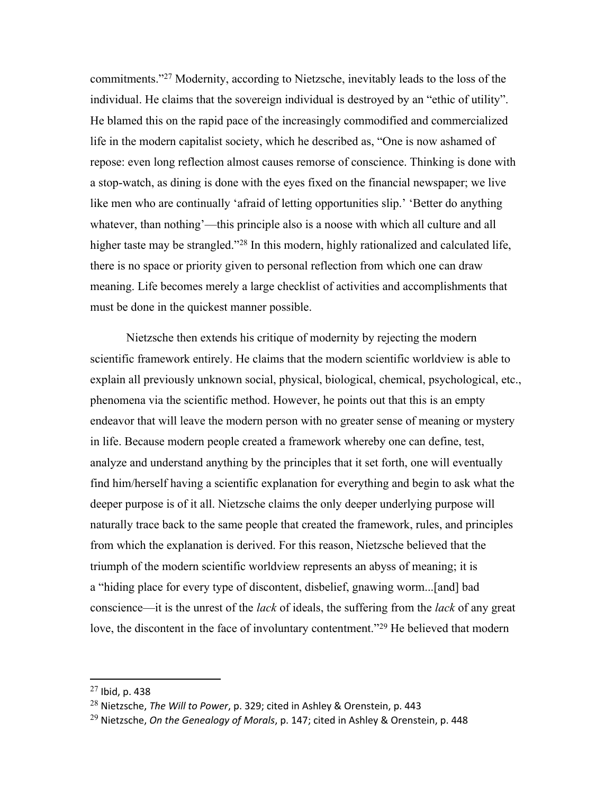commitments."<sup>27</sup> Modernity, according to Nietzsche, inevitably leads to the loss of the individual. He claims that the sovereign individual is destroyed by an "ethic of utility". He blamed this on the rapid pace of the increasingly commodified and commercialized life in the modern capitalist society, which he described as, "One is now ashamed of repose: even long reflection almost causes remorse of conscience. Thinking is done with a stop-watch, as dining is done with the eyes fixed on the financial newspaper; we live like men who are continually 'afraid of letting opportunities slip.' 'Better do anything whatever, than nothing'—this principle also is a noose with which all culture and all higher taste may be strangled."<sup>28</sup> In this modern, highly rationalized and calculated life, there is no space or priority given to personal reflection from which one can draw meaning. Life becomes merely a large checklist of activities and accomplishments that must be done in the quickest manner possible.

Nietzsche then extends his critique of modernity by rejecting the modern scientific framework entirely. He claims that the modern scientific worldview is able to explain all previously unknown social, physical, biological, chemical, psychological, etc., phenomena via the scientific method. However, he points out that this is an empty endeavor that will leave the modern person with no greater sense of meaning or mystery in life. Because modern people created a framework whereby one can define, test, analyze and understand anything by the principles that it set forth, one will eventually find him/herself having a scientific explanation for everything and begin to ask what the deeper purpose is of it all. Nietzsche claims the only deeper underlying purpose will naturally trace back to the same people that created the framework, rules, and principles from which the explanation is derived. For this reason, Nietzsche believed that the triumph of the modern scientific worldview represents an abyss of meaning; it is a "hiding place for every type of discontent, disbelief, gnawing worm...[and] bad conscience—it is the unrest of the *lack* of ideals, the suffering from the *lack* of any great love, the discontent in the face of involuntary contentment."<sup>29</sup> He believed that modern

<sup>27</sup> Ibid, p. 438

<sup>28</sup> Nietzsche, *The Will to Power*, p. 329; cited in Ashley & Orenstein, p. 443

<sup>29</sup> Nietzsche, *On the Genealogy of Morals*, p. 147; cited in Ashley & Orenstein, p. 448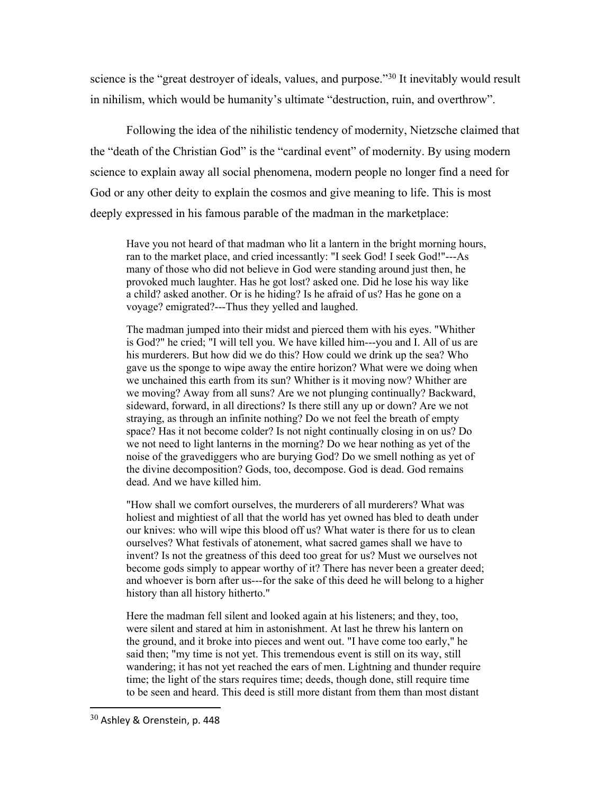science is the "great destroyer of ideals, values, and purpose."<sup>30</sup> It inevitably would result in nihilism, which would be humanity's ultimate "destruction, ruin, and overthrow".

Following the idea of the nihilistic tendency of modernity, Nietzsche claimed that the "death of the Christian God" is the "cardinal event" of modernity. By using modern science to explain away all social phenomena, modern people no longer find a need for God or any other deity to explain the cosmos and give meaning to life. This is most deeply expressed in his famous parable of the madman in the marketplace:

Have you not heard of that madman who lit a lantern in the bright morning hours, ran to the market place, and cried incessantly: "I seek God! I seek God!"---As many of those who did not believe in God were standing around just then, he provoked much laughter. Has he got lost? asked one. Did he lose his way like a child? asked another. Or is he hiding? Is he afraid of us? Has he gone on a voyage? emigrated?---Thus they yelled and laughed.

The madman jumped into their midst and pierced them with his eyes. "Whither is God?" he cried; "I will tell you. We have killed him---you and I. All of us are his murderers. But how did we do this? How could we drink up the sea? Who gave us the sponge to wipe away the entire horizon? What were we doing when we unchained this earth from its sun? Whither is it moving now? Whither are we moving? Away from all suns? Are we not plunging continually? Backward, sideward, forward, in all directions? Is there still any up or down? Are we not straying, as through an infinite nothing? Do we not feel the breath of empty space? Has it not become colder? Is not night continually closing in on us? Do we not need to light lanterns in the morning? Do we hear nothing as yet of the noise of the gravediggers who are burying God? Do we smell nothing as yet of the divine decomposition? Gods, too, decompose. God is dead. God remains dead. And we have killed him.

"How shall we comfort ourselves, the murderers of all murderers? What was holiest and mightiest of all that the world has yet owned has bled to death under our knives: who will wipe this blood off us? What water is there for us to clean ourselves? What festivals of atonement, what sacred games shall we have to invent? Is not the greatness of this deed too great for us? Must we ourselves not become gods simply to appear worthy of it? There has never been a greater deed; and whoever is born after us---for the sake of this deed he will belong to a higher history than all history hitherto."

Here the madman fell silent and looked again at his listeners; and they, too, were silent and stared at him in astonishment. At last he threw his lantern on the ground, and it broke into pieces and went out. "I have come too early," he said then; "my time is not yet. This tremendous event is still on its way, still wandering; it has not yet reached the ears of men. Lightning and thunder require time; the light of the stars requires time; deeds, though done, still require time to be seen and heard. This deed is still more distant from them than most distant

<sup>30</sup> Ashley & Orenstein, p. 448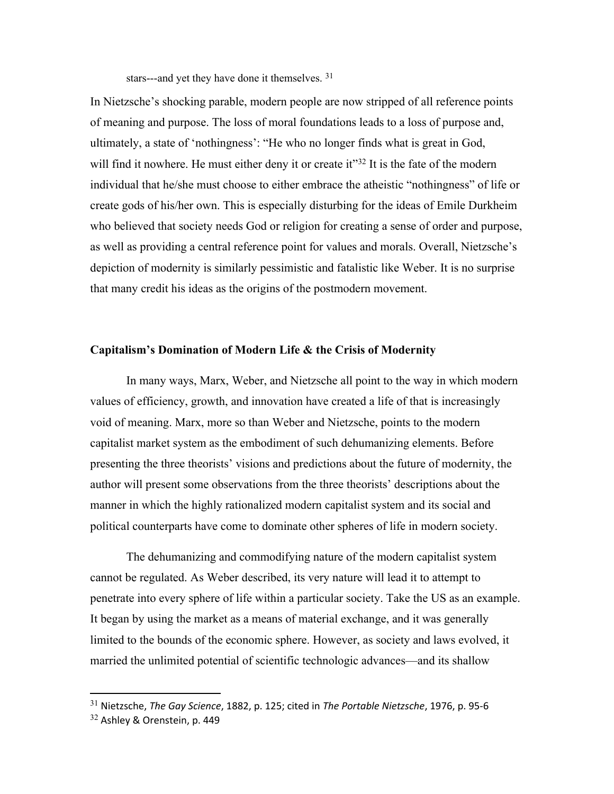stars---and yet they have done it themselves. <sup>31</sup>

In Nietzsche's shocking parable, modern people are now stripped of all reference points of meaning and purpose. The loss of moral foundations leads to a loss of purpose and, ultimately, a state of 'nothingness': "He who no longer finds what is great in God, will find it nowhere. He must either deny it or create it"<sup>32</sup> It is the fate of the modern individual that he/she must choose to either embrace the atheistic "nothingness" of life or create gods of his/her own. This is especially disturbing for the ideas of Emile Durkheim who believed that society needs God or religion for creating a sense of order and purpose, as well as providing a central reference point for values and morals. Overall, Nietzsche's depiction of modernity is similarly pessimistic and fatalistic like Weber. It is no surprise that many credit his ideas as the origins of the postmodern movement.

#### **Capitalism's Domination of Modern Life & the Crisis of Modernity**

In many ways, Marx, Weber, and Nietzsche all point to the way in which modern values of efficiency, growth, and innovation have created a life of that is increasingly void of meaning. Marx, more so than Weber and Nietzsche, points to the modern capitalist market system as the embodiment of such dehumanizing elements. Before presenting the three theorists' visions and predictions about the future of modernity, the author will present some observations from the three theorists' descriptions about the manner in which the highly rationalized modern capitalist system and its social and political counterparts have come to dominate other spheres of life in modern society.

The dehumanizing and commodifying nature of the modern capitalist system cannot be regulated. As Weber described, its very nature will lead it to attempt to penetrate into every sphere of life within a particular society. Take the US as an example. It began by using the market as a means of material exchange, and it was generally limited to the bounds of the economic sphere. However, as society and laws evolved, it married the unlimited potential of scientific technologic advances—and its shallow

<sup>31</sup> Nietzsche, *The Gay Science*, 1882, p. 125; cited in *The Portable Nietzsche*, 1976, p. 95-6

 $32$  Ashley & Orenstein, p. 449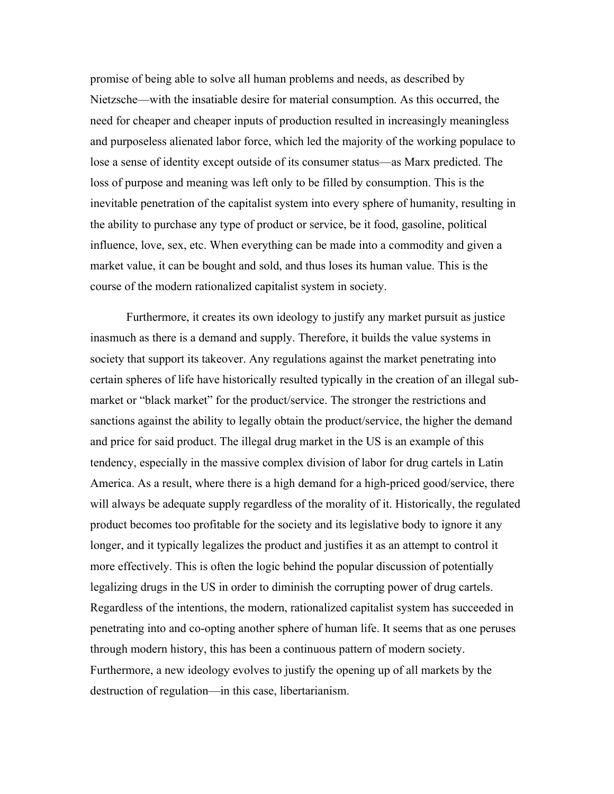promise of being able to solve all human problems and needs, as described by Nietzsche—with the insatiable desire for material consumption. As this occurred, the need for cheaper and cheaper inputs of production resulted in increasingly meaningless and purposeless alienated labor force, which led the majority of the working populace to lose a sense of identity except outside of its consumer status—as Marx predicted. The loss of purpose and meaning was left only to be filled by consumption. This is the inevitable penetration of the capitalist system into every sphere of humanity, resulting in the ability to purchase any type of product or service, be it food, gasoline, political influence, love, sex, etc. When everything can be made into a commodity and given a market value, it can be bought and sold, and thus loses its human value. This is the course of the modern rationalized capitalist system in society.

Furthermore, it creates its own ideology to justify any market pursuit as justice inasmuch as there is a demand and supply. Therefore, it builds the value systems in society that support its takeover. Any regulations against the market penetrating into certain spheres of life have historically resulted typically in the creation of an illegal submarket or "black market" for the product/service. The stronger the restrictions and sanctions against the ability to legally obtain the product/service, the higher the demand and price for said product. The illegal drug market in the US is an example of this tendency, especially in the massive complex division of labor for drug cartels in Latin America. As a result, where there is a high demand for a high-priced good/service, there will always be adequate supply regardless of the morality of it. Historically, the regulated product becomes too profitable for the society and its legislative body to ignore it any longer, and it typically legalizes the product and justifies it as an attempt to control it more effectively. This is often the logic behind the popular discussion of potentially legalizing drugs in the US in order to diminish the corrupting power of drug cartels. Regardless of the intentions, the modern, rationalized capitalist system has succeeded in penetrating into and co-opting another sphere of human life. It seems that as one peruses through modern history, this has been a continuous pattern of modern society. Furthermore, a new ideology evolves to justify the opening up of all markets by the destruction of regulation—in this case, libertarianism.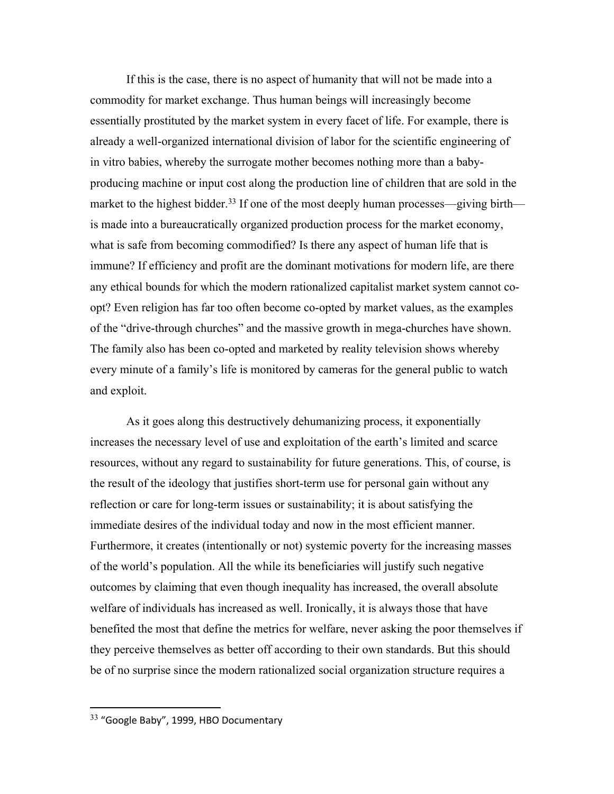If this is the case, there is no aspect of humanity that will not be made into a commodity for market exchange. Thus human beings will increasingly become essentially prostituted by the market system in every facet of life. For example, there is already a well-organized international division of labor for the scientific engineering of in vitro babies, whereby the surrogate mother becomes nothing more than a babyproducing machine or input cost along the production line of children that are sold in the market to the highest bidder.<sup>33</sup> If one of the most deeply human processes—giving birth is made into a bureaucratically organized production process for the market economy, what is safe from becoming commodified? Is there any aspect of human life that is immune? If efficiency and profit are the dominant motivations for modern life, are there any ethical bounds for which the modern rationalized capitalist market system cannot coopt? Even religion has far too often become co-opted by market values, as the examples of the "drive-through churches" and the massive growth in mega-churches have shown. The family also has been co-opted and marketed by reality television shows whereby every minute of a family's life is monitored by cameras for the general public to watch and exploit.

As it goes along this destructively dehumanizing process, it exponentially increases the necessary level of use and exploitation of the earth's limited and scarce resources, without any regard to sustainability for future generations. This, of course, is the result of the ideology that justifies short-term use for personal gain without any reflection or care for long-term issues or sustainability; it is about satisfying the immediate desires of the individual today and now in the most efficient manner. Furthermore, it creates (intentionally or not) systemic poverty for the increasing masses of the world's population. All the while its beneficiaries will justify such negative outcomes by claiming that even though inequality has increased, the overall absolute welfare of individuals has increased as well. Ironically, it is always those that have benefited the most that define the metrics for welfare, never asking the poor themselves if they perceive themselves as better off according to their own standards. But this should be of no surprise since the modern rationalized social organization structure requires a

<sup>33 &</sup>quot;Google Baby", 1999, HBO Documentary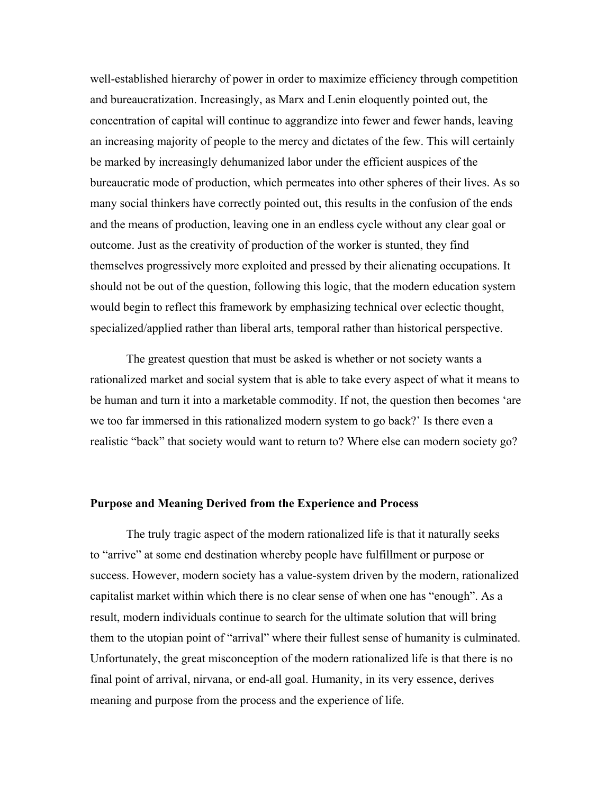well-established hierarchy of power in order to maximize efficiency through competition and bureaucratization. Increasingly, as Marx and Lenin eloquently pointed out, the concentration of capital will continue to aggrandize into fewer and fewer hands, leaving an increasing majority of people to the mercy and dictates of the few. This will certainly be marked by increasingly dehumanized labor under the efficient auspices of the bureaucratic mode of production, which permeates into other spheres of their lives. As so many social thinkers have correctly pointed out, this results in the confusion of the ends and the means of production, leaving one in an endless cycle without any clear goal or outcome. Just as the creativity of production of the worker is stunted, they find themselves progressively more exploited and pressed by their alienating occupations. It should not be out of the question, following this logic, that the modern education system would begin to reflect this framework by emphasizing technical over eclectic thought, specialized/applied rather than liberal arts, temporal rather than historical perspective.

The greatest question that must be asked is whether or not society wants a rationalized market and social system that is able to take every aspect of what it means to be human and turn it into a marketable commodity. If not, the question then becomes 'are we too far immersed in this rationalized modern system to go back?' Is there even a realistic "back" that society would want to return to? Where else can modern society go?

#### **Purpose and Meaning Derived from the Experience and Process**

The truly tragic aspect of the modern rationalized life is that it naturally seeks to "arrive" at some end destination whereby people have fulfillment or purpose or success. However, modern society has a value-system driven by the modern, rationalized capitalist market within which there is no clear sense of when one has "enough". As a result, modern individuals continue to search for the ultimate solution that will bring them to the utopian point of "arrival" where their fullest sense of humanity is culminated. Unfortunately, the great misconception of the modern rationalized life is that there is no final point of arrival, nirvana, or end-all goal. Humanity, in its very essence, derives meaning and purpose from the process and the experience of life.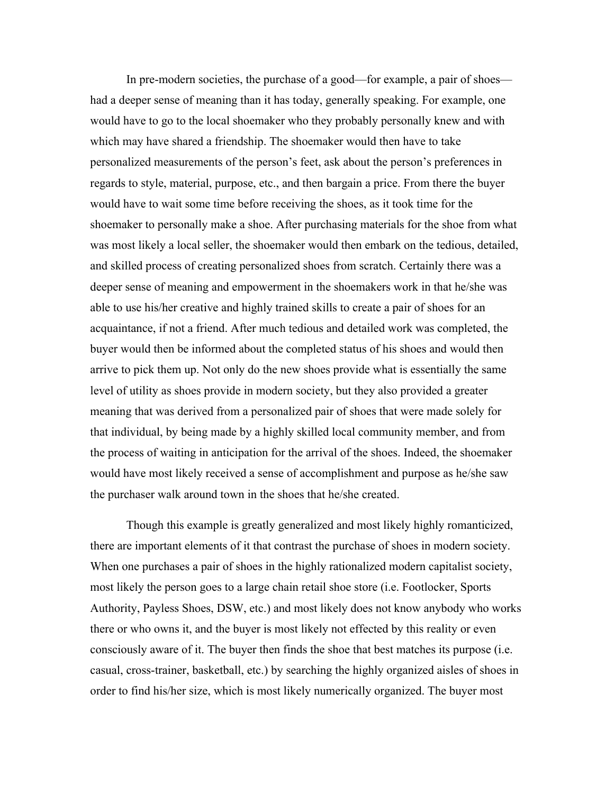In pre-modern societies, the purchase of a good—for example, a pair of shoes had a deeper sense of meaning than it has today, generally speaking. For example, one would have to go to the local shoemaker who they probably personally knew and with which may have shared a friendship. The shoemaker would then have to take personalized measurements of the person's feet, ask about the person's preferences in regards to style, material, purpose, etc., and then bargain a price. From there the buyer would have to wait some time before receiving the shoes, as it took time for the shoemaker to personally make a shoe. After purchasing materials for the shoe from what was most likely a local seller, the shoemaker would then embark on the tedious, detailed, and skilled process of creating personalized shoes from scratch. Certainly there was a deeper sense of meaning and empowerment in the shoemakers work in that he/she was able to use his/her creative and highly trained skills to create a pair of shoes for an acquaintance, if not a friend. After much tedious and detailed work was completed, the buyer would then be informed about the completed status of his shoes and would then arrive to pick them up. Not only do the new shoes provide what is essentially the same level of utility as shoes provide in modern society, but they also provided a greater meaning that was derived from a personalized pair of shoes that were made solely for that individual, by being made by a highly skilled local community member, and from the process of waiting in anticipation for the arrival of the shoes. Indeed, the shoemaker would have most likely received a sense of accomplishment and purpose as he/she saw the purchaser walk around town in the shoes that he/she created.

Though this example is greatly generalized and most likely highly romanticized, there are important elements of it that contrast the purchase of shoes in modern society. When one purchases a pair of shoes in the highly rationalized modern capitalist society, most likely the person goes to a large chain retail shoe store (i.e. Footlocker, Sports Authority, Payless Shoes, DSW, etc.) and most likely does not know anybody who works there or who owns it, and the buyer is most likely not effected by this reality or even consciously aware of it. The buyer then finds the shoe that best matches its purpose (i.e. casual, cross-trainer, basketball, etc.) by searching the highly organized aisles of shoes in order to find his/her size, which is most likely numerically organized. The buyer most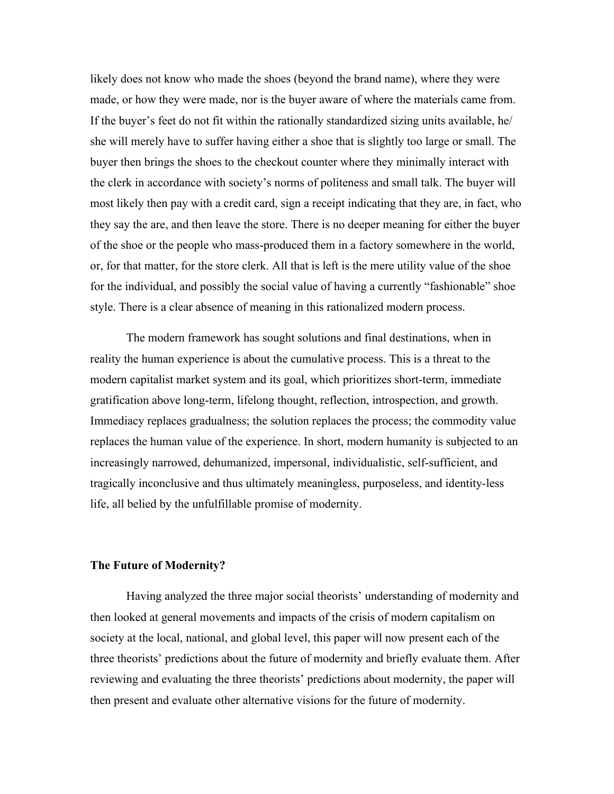likely does not know who made the shoes (beyond the brand name), where they were made, or how they were made, nor is the buyer aware of where the materials came from. If the buyer's feet do not fit within the rationally standardized sizing units available, he/ she will merely have to suffer having either a shoe that is slightly too large or small. The buyer then brings the shoes to the checkout counter where they minimally interact with the clerk in accordance with society's norms of politeness and small talk. The buyer will most likely then pay with a credit card, sign a receipt indicating that they are, in fact, who they say the are, and then leave the store. There is no deeper meaning for either the buyer of the shoe or the people who mass-produced them in a factory somewhere in the world, or, for that matter, for the store clerk. All that is left is the mere utility value of the shoe for the individual, and possibly the social value of having a currently "fashionable" shoe style. There is a clear absence of meaning in this rationalized modern process.

The modern framework has sought solutions and final destinations, when in reality the human experience is about the cumulative process. This is a threat to the modern capitalist market system and its goal, which prioritizes short-term, immediate gratification above long-term, lifelong thought, reflection, introspection, and growth. Immediacy replaces gradualness; the solution replaces the process; the commodity value replaces the human value of the experience. In short, modern humanity is subjected to an increasingly narrowed, dehumanized, impersonal, individualistic, self-sufficient, and tragically inconclusive and thus ultimately meaningless, purposeless, and identity-less life, all belied by the unfulfillable promise of modernity.

#### **The Future of Modernity?**

Having analyzed the three major social theorists' understanding of modernity and then looked at general movements and impacts of the crisis of modern capitalism on society at the local, national, and global level, this paper will now present each of the three theorists' predictions about the future of modernity and briefly evaluate them. After reviewing and evaluating the three theorists' predictions about modernity, the paper will then present and evaluate other alternative visions for the future of modernity.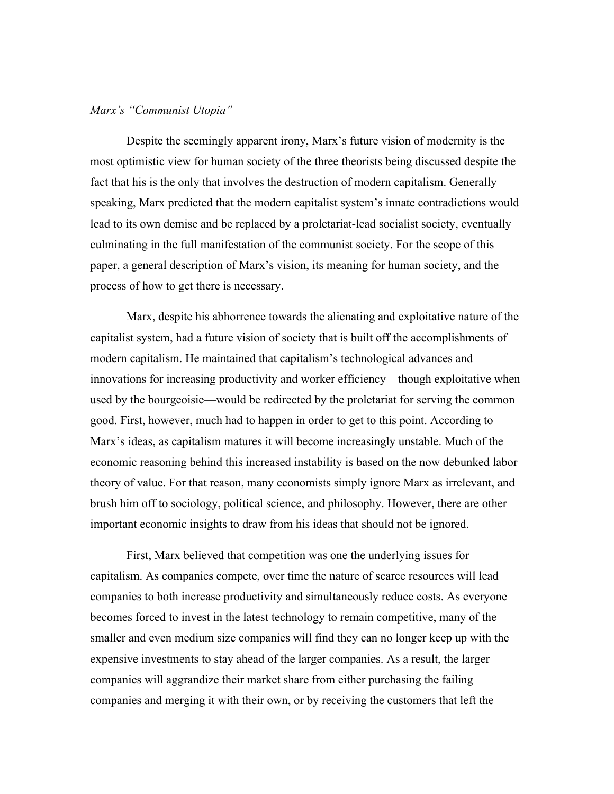#### *Marx's "Communist Utopia"*

Despite the seemingly apparent irony, Marx's future vision of modernity is the most optimistic view for human society of the three theorists being discussed despite the fact that his is the only that involves the destruction of modern capitalism. Generally speaking, Marx predicted that the modern capitalist system's innate contradictions would lead to its own demise and be replaced by a proletariat-lead socialist society, eventually culminating in the full manifestation of the communist society. For the scope of this paper, a general description of Marx's vision, its meaning for human society, and the process of how to get there is necessary.

Marx, despite his abhorrence towards the alienating and exploitative nature of the capitalist system, had a future vision of society that is built off the accomplishments of modern capitalism. He maintained that capitalism's technological advances and innovations for increasing productivity and worker efficiency—though exploitative when used by the bourgeoisie—would be redirected by the proletariat for serving the common good. First, however, much had to happen in order to get to this point. According to Marx's ideas, as capitalism matures it will become increasingly unstable. Much of the economic reasoning behind this increased instability is based on the now debunked labor theory of value. For that reason, many economists simply ignore Marx as irrelevant, and brush him off to sociology, political science, and philosophy. However, there are other important economic insights to draw from his ideas that should not be ignored.

First, Marx believed that competition was one the underlying issues for capitalism. As companies compete, over time the nature of scarce resources will lead companies to both increase productivity and simultaneously reduce costs. As everyone becomes forced to invest in the latest technology to remain competitive, many of the smaller and even medium size companies will find they can no longer keep up with the expensive investments to stay ahead of the larger companies. As a result, the larger companies will aggrandize their market share from either purchasing the failing companies and merging it with their own, or by receiving the customers that left the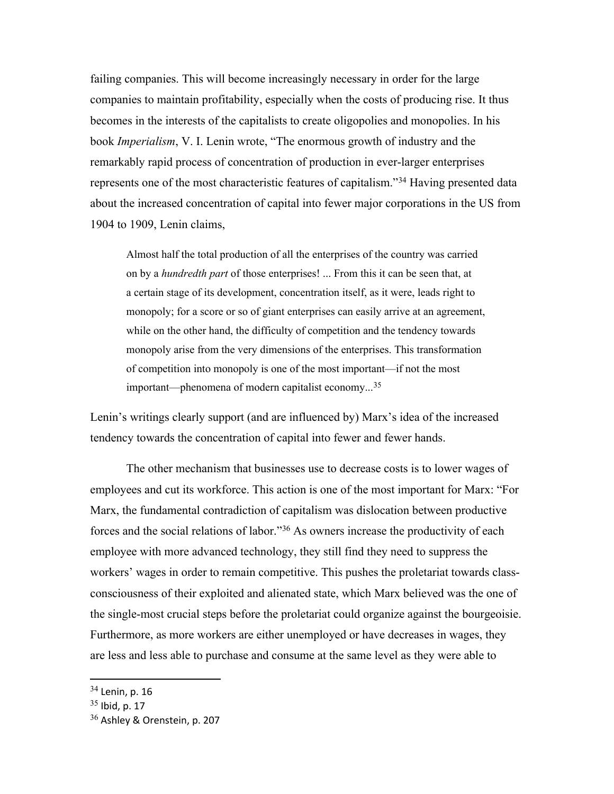failing companies. This will become increasingly necessary in order for the large companies to maintain profitability, especially when the costs of producing rise. It thus becomes in the interests of the capitalists to create oligopolies and monopolies. In his book *Imperialism*, V. I. Lenin wrote, "The enormous growth of industry and the remarkably rapid process of concentration of production in ever-larger enterprises represents one of the most characteristic features of capitalism."<sup>34</sup> Having presented data about the increased concentration of capital into fewer major corporations in the US from 1904 to 1909, Lenin claims,

Almost half the total production of all the enterprises of the country was carried on by a *hundredth part* of those enterprises! ... From this it can be seen that, at a certain stage of its development, concentration itself, as it were, leads right to monopoly; for a score or so of giant enterprises can easily arrive at an agreement, while on the other hand, the difficulty of competition and the tendency towards monopoly arise from the very dimensions of the enterprises. This transformation of competition into monopoly is one of the most important—if not the most important—phenomena of modern capitalist economy...<sup>35</sup>

Lenin's writings clearly support (and are influenced by) Marx's idea of the increased tendency towards the concentration of capital into fewer and fewer hands.

The other mechanism that businesses use to decrease costs is to lower wages of employees and cut its workforce. This action is one of the most important for Marx: "For Marx, the fundamental contradiction of capitalism was dislocation between productive forces and the social relations of labor."<sup>36</sup> As owners increase the productivity of each employee with more advanced technology, they still find they need to suppress the workers' wages in order to remain competitive. This pushes the proletariat towards classconsciousness of their exploited and alienated state, which Marx believed was the one of the single-most crucial steps before the proletariat could organize against the bourgeoisie. Furthermore, as more workers are either unemployed or have decreases in wages, they are less and less able to purchase and consume at the same level as they were able to

<sup>34</sup> Lenin, p. 16

 $35$  Ibid, p. 17

<sup>&</sup>lt;sup>36</sup> Ashley & Orenstein, p. 207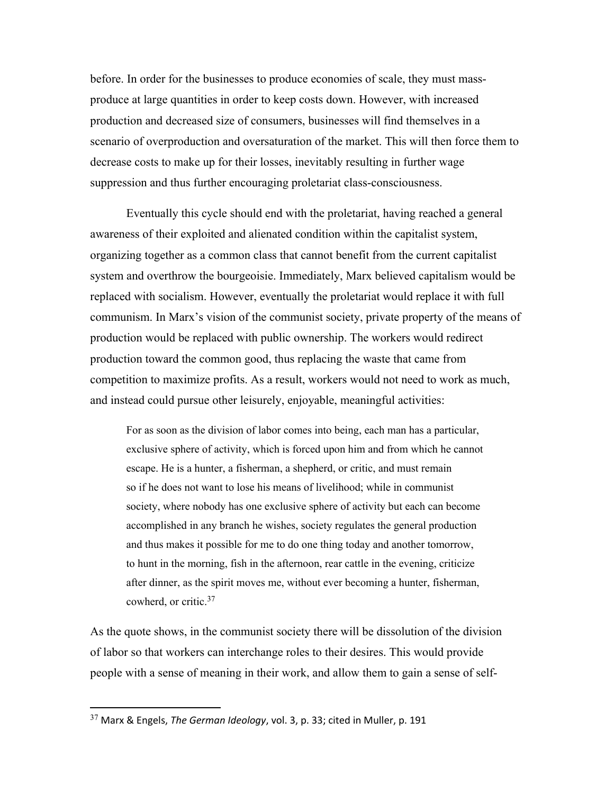before. In order for the businesses to produce economies of scale, they must massproduce at large quantities in order to keep costs down. However, with increased production and decreased size of consumers, businesses will find themselves in a scenario of overproduction and oversaturation of the market. This will then force them to decrease costs to make up for their losses, inevitably resulting in further wage suppression and thus further encouraging proletariat class-consciousness.

Eventually this cycle should end with the proletariat, having reached a general awareness of their exploited and alienated condition within the capitalist system, organizing together as a common class that cannot benefit from the current capitalist system and overthrow the bourgeoisie. Immediately, Marx believed capitalism would be replaced with socialism. However, eventually the proletariat would replace it with full communism. In Marx's vision of the communist society, private property of the means of production would be replaced with public ownership. The workers would redirect production toward the common good, thus replacing the waste that came from competition to maximize profits. As a result, workers would not need to work as much, and instead could pursue other leisurely, enjoyable, meaningful activities:

For as soon as the division of labor comes into being, each man has a particular, exclusive sphere of activity, which is forced upon him and from which he cannot escape. He is a hunter, a fisherman, a shepherd, or critic, and must remain so if he does not want to lose his means of livelihood; while in communist society, where nobody has one exclusive sphere of activity but each can become accomplished in any branch he wishes, society regulates the general production and thus makes it possible for me to do one thing today and another tomorrow, to hunt in the morning, fish in the afternoon, rear cattle in the evening, criticize after dinner, as the spirit moves me, without ever becoming a hunter, fisherman, cowherd, or critic.<sup>37</sup>

As the quote shows, in the communist society there will be dissolution of the division of labor so that workers can interchange roles to their desires. This would provide people with a sense of meaning in their work, and allow them to gain a sense of self-

<sup>37</sup> Marx & Engels, *The German Ideology*, vol. 3, p. 33; cited in Muller, p. 191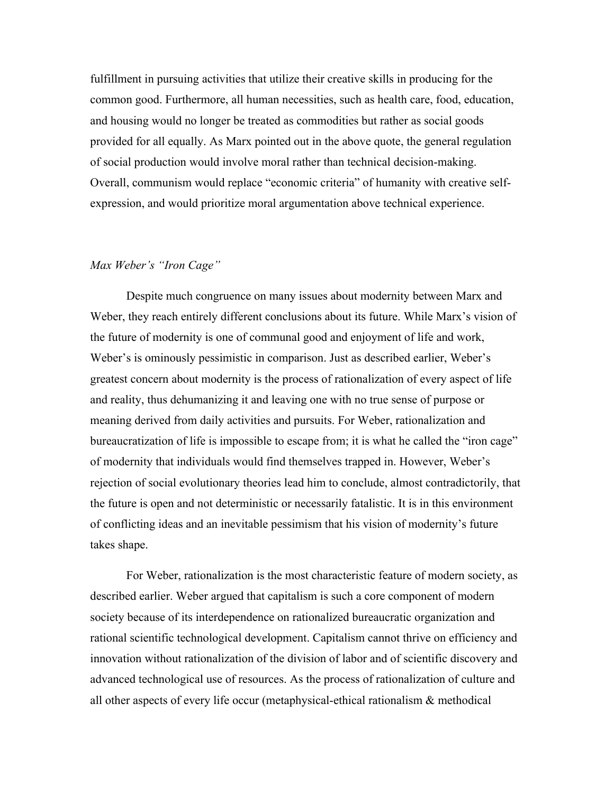fulfillment in pursuing activities that utilize their creative skills in producing for the common good. Furthermore, all human necessities, such as health care, food, education, and housing would no longer be treated as commodities but rather as social goods provided for all equally. As Marx pointed out in the above quote, the general regulation of social production would involve moral rather than technical decision-making. Overall, communism would replace "economic criteria" of humanity with creative selfexpression, and would prioritize moral argumentation above technical experience.

#### *Max Weber's "Iron Cage"*

Despite much congruence on many issues about modernity between Marx and Weber, they reach entirely different conclusions about its future. While Marx's vision of the future of modernity is one of communal good and enjoyment of life and work, Weber's is ominously pessimistic in comparison. Just as described earlier, Weber's greatest concern about modernity is the process of rationalization of every aspect of life and reality, thus dehumanizing it and leaving one with no true sense of purpose or meaning derived from daily activities and pursuits. For Weber, rationalization and bureaucratization of life is impossible to escape from; it is what he called the "iron cage" of modernity that individuals would find themselves trapped in. However, Weber's rejection of social evolutionary theories lead him to conclude, almost contradictorily, that the future is open and not deterministic or necessarily fatalistic. It is in this environment of conflicting ideas and an inevitable pessimism that his vision of modernity's future takes shape.

For Weber, rationalization is the most characteristic feature of modern society, as described earlier. Weber argued that capitalism is such a core component of modern society because of its interdependence on rationalized bureaucratic organization and rational scientific technological development. Capitalism cannot thrive on efficiency and innovation without rationalization of the division of labor and of scientific discovery and advanced technological use of resources. As the process of rationalization of culture and all other aspects of every life occur (metaphysical-ethical rationalism & methodical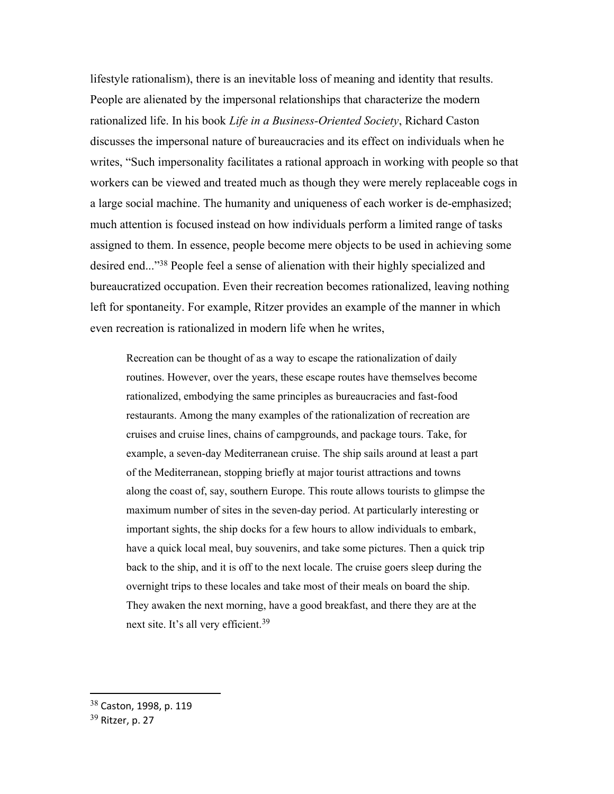lifestyle rationalism), there is an inevitable loss of meaning and identity that results. People are alienated by the impersonal relationships that characterize the modern rationalized life. In his book *Life in a Business-Oriented Society*, Richard Caston discusses the impersonal nature of bureaucracies and its effect on individuals when he writes, "Such impersonality facilitates a rational approach in working with people so that workers can be viewed and treated much as though they were merely replaceable cogs in a large social machine. The humanity and uniqueness of each worker is de-emphasized; much attention is focused instead on how individuals perform a limited range of tasks assigned to them. In essence, people become mere objects to be used in achieving some desired end..."<sup>38</sup> People feel a sense of alienation with their highly specialized and bureaucratized occupation. Even their recreation becomes rationalized, leaving nothing left for spontaneity. For example, Ritzer provides an example of the manner in which even recreation is rationalized in modern life when he writes,

Recreation can be thought of as a way to escape the rationalization of daily routines. However, over the years, these escape routes have themselves become rationalized, embodying the same principles as bureaucracies and fast-food restaurants. Among the many examples of the rationalization of recreation are cruises and cruise lines, chains of campgrounds, and package tours. Take, for example, a seven-day Mediterranean cruise. The ship sails around at least a part of the Mediterranean, stopping briefly at major tourist attractions and towns along the coast of, say, southern Europe. This route allows tourists to glimpse the maximum number of sites in the seven-day period. At particularly interesting or important sights, the ship docks for a few hours to allow individuals to embark, have a quick local meal, buy souvenirs, and take some pictures. Then a quick trip back to the ship, and it is off to the next locale. The cruise goers sleep during the overnight trips to these locales and take most of their meals on board the ship. They awaken the next morning, have a good breakfast, and there they are at the next site. It's all very efficient.<sup>39</sup>

<sup>38</sup> Caston, 1998, p. 119

<sup>39</sup> Ritzer, p. 27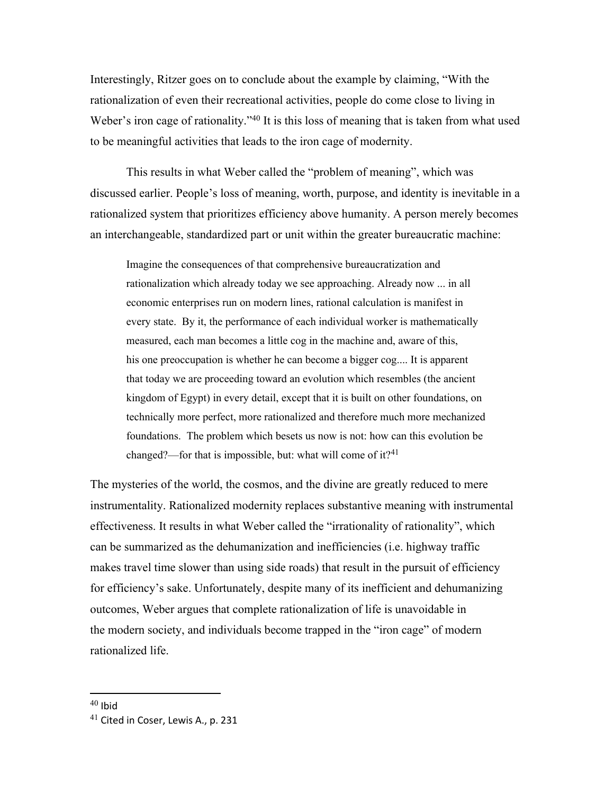Interestingly, Ritzer goes on to conclude about the example by claiming, "With the rationalization of even their recreational activities, people do come close to living in Weber's iron cage of rationality."<sup>40</sup> It is this loss of meaning that is taken from what used to be meaningful activities that leads to the iron cage of modernity.

This results in what Weber called the "problem of meaning", which was discussed earlier. People's loss of meaning, worth, purpose, and identity is inevitable in a rationalized system that prioritizes efficiency above humanity. A person merely becomes an interchangeable, standardized part or unit within the greater bureaucratic machine:

Imagine the consequences of that comprehensive bureaucratization and rationalization which already today we see approaching. Already now ... in all economic enterprises run on modern lines, rational calculation is manifest in every state. By it, the performance of each individual worker is mathematically measured, each man becomes a little cog in the machine and, aware of this, his one preoccupation is whether he can become a bigger cog.... It is apparent that today we are proceeding toward an evolution which resembles (the ancient kingdom of Egypt) in every detail, except that it is built on other foundations, on technically more perfect, more rationalized and therefore much more mechanized foundations. The problem which besets us now is not: how can this evolution be changed?—for that is impossible, but: what will come of it?<sup>41</sup>

The mysteries of the world, the cosmos, and the divine are greatly reduced to mere instrumentality. Rationalized modernity replaces substantive meaning with instrumental effectiveness. It results in what Weber called the "irrationality of rationality", which can be summarized as the dehumanization and inefficiencies (i.e. highway traffic makes travel time slower than using side roads) that result in the pursuit of efficiency for efficiency's sake. Unfortunately, despite many of its inefficient and dehumanizing outcomes, Weber argues that complete rationalization of life is unavoidable in the modern society, and individuals become trapped in the "iron cage" of modern rationalized life.

 $40$  Ibid

 $41$  Cited in Coser, Lewis A., p. 231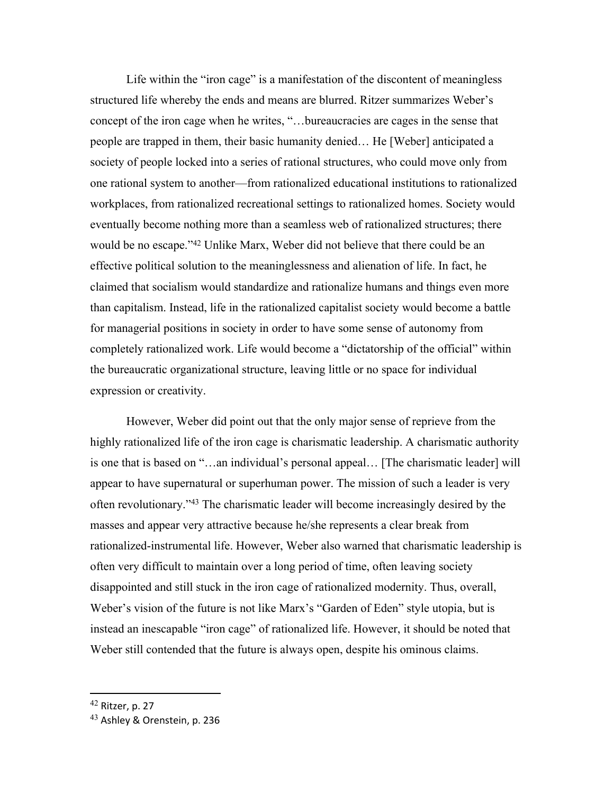Life within the "iron cage" is a manifestation of the discontent of meaningless structured life whereby the ends and means are blurred. Ritzer summarizes Weber's concept of the iron cage when he writes, "…bureaucracies are cages in the sense that people are trapped in them, their basic humanity denied… He [Weber] anticipated a society of people locked into a series of rational structures, who could move only from one rational system to another—from rationalized educational institutions to rationalized workplaces, from rationalized recreational settings to rationalized homes. Society would eventually become nothing more than a seamless web of rationalized structures; there would be no escape."<sup>42</sup> Unlike Marx, Weber did not believe that there could be an effective political solution to the meaninglessness and alienation of life. In fact, he claimed that socialism would standardize and rationalize humans and things even more than capitalism. Instead, life in the rationalized capitalist society would become a battle for managerial positions in society in order to have some sense of autonomy from completely rationalized work. Life would become a "dictatorship of the official" within the bureaucratic organizational structure, leaving little or no space for individual expression or creativity.

However, Weber did point out that the only major sense of reprieve from the highly rationalized life of the iron cage is charismatic leadership. A charismatic authority is one that is based on "…an individual's personal appeal… [The charismatic leader] will appear to have supernatural or superhuman power. The mission of such a leader is very often revolutionary."<sup>43</sup> The charismatic leader will become increasingly desired by the masses and appear very attractive because he/she represents a clear break from rationalized-instrumental life. However, Weber also warned that charismatic leadership is often very difficult to maintain over a long period of time, often leaving society disappointed and still stuck in the iron cage of rationalized modernity. Thus, overall, Weber's vision of the future is not like Marx's "Garden of Eden" style utopia, but is instead an inescapable "iron cage" of rationalized life. However, it should be noted that Weber still contended that the future is always open, despite his ominous claims.

<sup>42</sup> Ritzer, p. 27

<sup>43</sup> Ashley & Orenstein, p. 236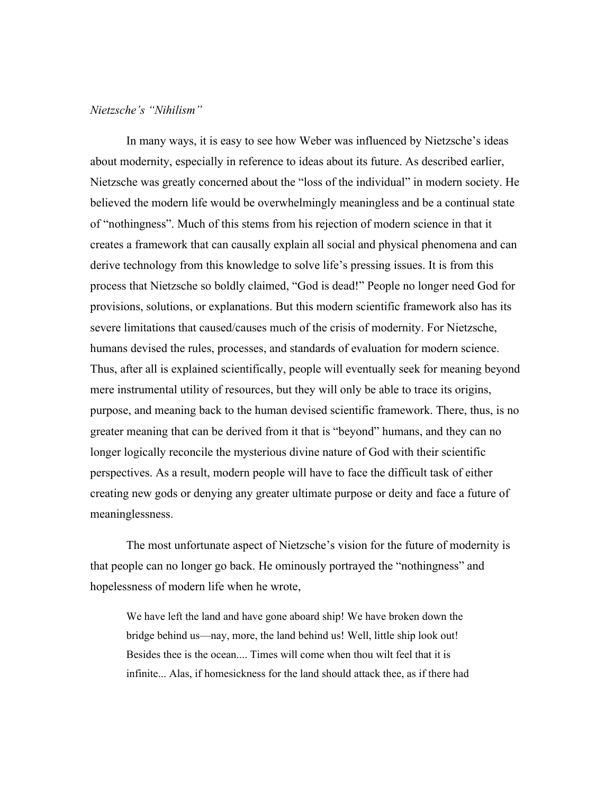#### *Nietzsche's "Nihilism"*

In many ways, it is easy to see how Weber was influenced by Nietzsche's ideas about modernity, especially in reference to ideas about its future. As described earlier, Nietzsche was greatly concerned about the "loss of the individual" in modern society. He believed the modern life would be overwhelmingly meaningless and be a continual state of "nothingness". Much of this stems from his rejection of modern science in that it creates a framework that can causally explain all social and physical phenomena and can derive technology from this knowledge to solve life's pressing issues. It is from this process that Nietzsche so boldly claimed, "God is dead!" People no longer need God for provisions, solutions, or explanations. But this modern scientific framework also has its severe limitations that caused/causes much of the crisis of modernity. For Nietzsche, humans devised the rules, processes, and standards of evaluation for modern science. Thus, after all is explained scientifically, people will eventually seek for meaning beyond mere instrumental utility of resources, but they will only be able to trace its origins, purpose, and meaning back to the human devised scientific framework. There, thus, is no greater meaning that can be derived from it that is "beyond" humans, and they can no longer logically reconcile the mysterious divine nature of God with their scientific perspectives. As a result, modern people will have to face the difficult task of either creating new gods or denying any greater ultimate purpose or deity and face a future of meaninglessness.

The most unfortunate aspect of Nietzsche's vision for the future of modernity is that people can no longer go back. He ominously portrayed the "nothingness" and hopelessness of modern life when he wrote,

We have left the land and have gone aboard ship! We have broken down the bridge behind us—nay, more, the land behind us! Well, little ship look out! Besides thee is the ocean.... Times will come when thou wilt feel that it is infinite... Alas, if homesickness for the land should attack thee, as if there had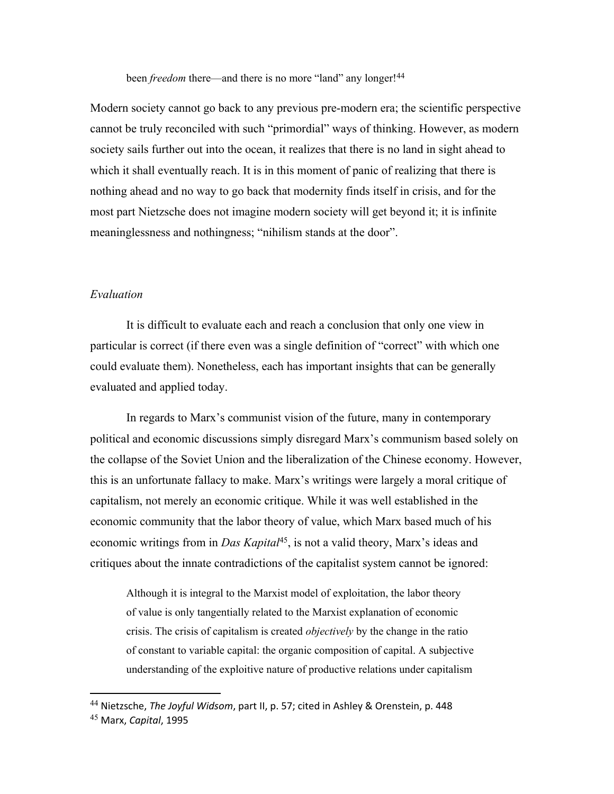#### been *freedom* there—and there is no more "land" any longer!<sup>44</sup>

Modern society cannot go back to any previous pre-modern era; the scientific perspective cannot be truly reconciled with such "primordial" ways of thinking. However, as modern society sails further out into the ocean, it realizes that there is no land in sight ahead to which it shall eventually reach. It is in this moment of panic of realizing that there is nothing ahead and no way to go back that modernity finds itself in crisis, and for the most part Nietzsche does not imagine modern society will get beyond it; it is infinite meaninglessness and nothingness; "nihilism stands at the door".

#### *Evaluation*

It is difficult to evaluate each and reach a conclusion that only one view in particular is correct (if there even was a single definition of "correct" with which one could evaluate them). Nonetheless, each has important insights that can be generally evaluated and applied today.

In regards to Marx's communist vision of the future, many in contemporary political and economic discussions simply disregard Marx's communism based solely on the collapse of the Soviet Union and the liberalization of the Chinese economy. However, this is an unfortunate fallacy to make. Marx's writings were largely a moral critique of capitalism, not merely an economic critique. While it was well established in the economic community that the labor theory of value, which Marx based much of his economic writings from in *Das Kapital*<sup>45</sup>, is not a valid theory, Marx's ideas and critiques about the innate contradictions of the capitalist system cannot be ignored:

Although it is integral to the Marxist model of exploitation, the labor theory of value is only tangentially related to the Marxist explanation of economic crisis. The crisis of capitalism is created *objectively* by the change in the ratio of constant to variable capital: the organic composition of capital. A subjective understanding of the exploitive nature of productive relations under capitalism

<sup>44</sup> Nietzsche, *The Joyful Widsom*, part II, p. 57; cited in Ashley & Orenstein, p. 448 <sup>45</sup> Marx, *Capital*, 1995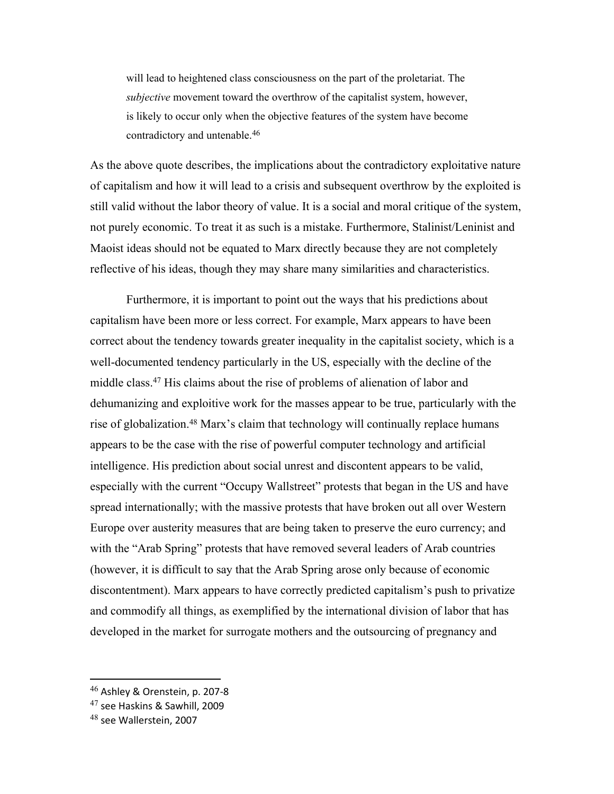will lead to heightened class consciousness on the part of the proletariat. The *subjective* movement toward the overthrow of the capitalist system, however, is likely to occur only when the objective features of the system have become contradictory and untenable.<sup>46</sup>

As the above quote describes, the implications about the contradictory exploitative nature of capitalism and how it will lead to a crisis and subsequent overthrow by the exploited is still valid without the labor theory of value. It is a social and moral critique of the system, not purely economic. To treat it as such is a mistake. Furthermore, Stalinist/Leninist and Maoist ideas should not be equated to Marx directly because they are not completely reflective of his ideas, though they may share many similarities and characteristics.

Furthermore, it is important to point out the ways that his predictions about capitalism have been more or less correct. For example, Marx appears to have been correct about the tendency towards greater inequality in the capitalist society, which is a well-documented tendency particularly in the US, especially with the decline of the middle class.<sup>47</sup> His claims about the rise of problems of alienation of labor and dehumanizing and exploitive work for the masses appear to be true, particularly with the rise of globalization.<sup>48</sup> Marx's claim that technology will continually replace humans appears to be the case with the rise of powerful computer technology and artificial intelligence. His prediction about social unrest and discontent appears to be valid, especially with the current "Occupy Wallstreet" protests that began in the US and have spread internationally; with the massive protests that have broken out all over Western Europe over austerity measures that are being taken to preserve the euro currency; and with the "Arab Spring" protests that have removed several leaders of Arab countries (however, it is difficult to say that the Arab Spring arose only because of economic discontentment). Marx appears to have correctly predicted capitalism's push to privatize and commodify all things, as exemplified by the international division of labor that has developed in the market for surrogate mothers and the outsourcing of pregnancy and

<sup>46</sup> Ashley & Orenstein, p. 207-8

<sup>47</sup> see Haskins & Sawhill, 2009

<sup>48</sup> see Wallerstein, 2007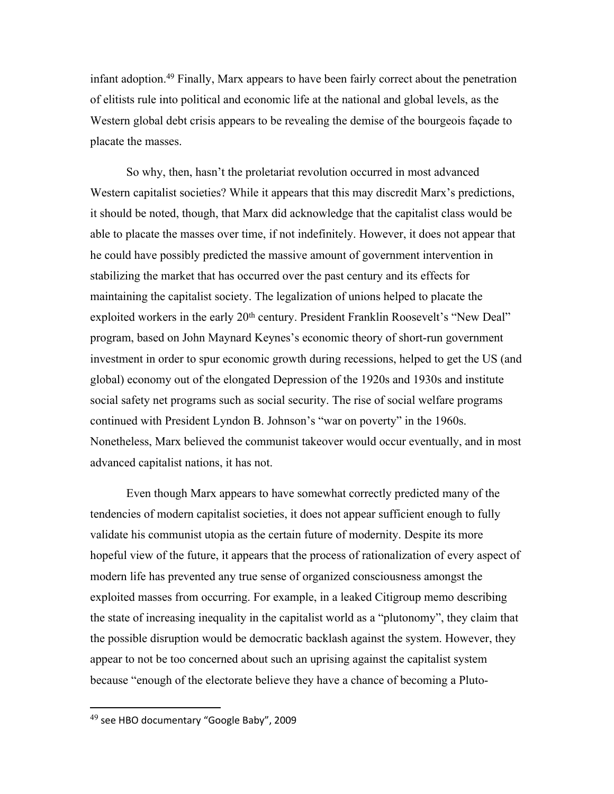infant adoption.<sup>49</sup> Finally, Marx appears to have been fairly correct about the penetration of elitists rule into political and economic life at the national and global levels, as the Western global debt crisis appears to be revealing the demise of the bourgeois façade to placate the masses.

So why, then, hasn't the proletariat revolution occurred in most advanced Western capitalist societies? While it appears that this may discredit Marx's predictions, it should be noted, though, that Marx did acknowledge that the capitalist class would be able to placate the masses over time, if not indefinitely. However, it does not appear that he could have possibly predicted the massive amount of government intervention in stabilizing the market that has occurred over the past century and its effects for maintaining the capitalist society. The legalization of unions helped to placate the exploited workers in the early 20<sup>th</sup> century. President Franklin Roosevelt's "New Deal" program, based on John Maynard Keynes's economic theory of short-run government investment in order to spur economic growth during recessions, helped to get the US (and global) economy out of the elongated Depression of the 1920s and 1930s and institute social safety net programs such as social security. The rise of social welfare programs continued with President Lyndon B. Johnson's "war on poverty" in the 1960s. Nonetheless, Marx believed the communist takeover would occur eventually, and in most advanced capitalist nations, it has not.

Even though Marx appears to have somewhat correctly predicted many of the tendencies of modern capitalist societies, it does not appear sufficient enough to fully validate his communist utopia as the certain future of modernity. Despite its more hopeful view of the future, it appears that the process of rationalization of every aspect of modern life has prevented any true sense of organized consciousness amongst the exploited masses from occurring. For example, in a leaked Citigroup memo describing the state of increasing inequality in the capitalist world as a "plutonomy", they claim that the possible disruption would be democratic backlash against the system. However, they appear to not be too concerned about such an uprising against the capitalist system because "enough of the electorate believe they have a chance of becoming a Pluto-

<sup>&</sup>lt;sup>49</sup> see HBO documentary "Google Baby", 2009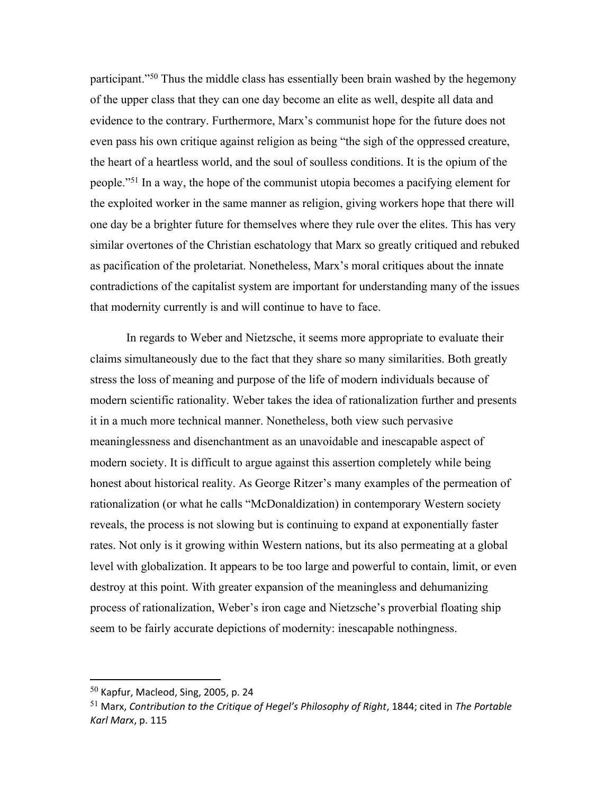participant."<sup>50</sup> Thus the middle class has essentially been brain washed by the hegemony of the upper class that they can one day become an elite as well, despite all data and evidence to the contrary. Furthermore, Marx's communist hope for the future does not even pass his own critique against religion as being "the sigh of the oppressed creature, the heart of a heartless world, and the soul of soulless conditions. It is the opium of the people."<sup>51</sup> In a way, the hope of the communist utopia becomes a pacifying element for the exploited worker in the same manner as religion, giving workers hope that there will one day be a brighter future for themselves where they rule over the elites. This has very similar overtones of the Christian eschatology that Marx so greatly critiqued and rebuked as pacification of the proletariat. Nonetheless, Marx's moral critiques about the innate contradictions of the capitalist system are important for understanding many of the issues that modernity currently is and will continue to have to face.

In regards to Weber and Nietzsche, it seems more appropriate to evaluate their claims simultaneously due to the fact that they share so many similarities. Both greatly stress the loss of meaning and purpose of the life of modern individuals because of modern scientific rationality. Weber takes the idea of rationalization further and presents it in a much more technical manner. Nonetheless, both view such pervasive meaninglessness and disenchantment as an unavoidable and inescapable aspect of modern society. It is difficult to argue against this assertion completely while being honest about historical reality. As George Ritzer's many examples of the permeation of rationalization (or what he calls "McDonaldization) in contemporary Western society reveals, the process is not slowing but is continuing to expand at exponentially faster rates. Not only is it growing within Western nations, but its also permeating at a global level with globalization. It appears to be too large and powerful to contain, limit, or even destroy at this point. With greater expansion of the meaningless and dehumanizing process of rationalization, Weber's iron cage and Nietzsche's proverbial floating ship seem to be fairly accurate depictions of modernity: inescapable nothingness.

 $50$  Kapfur, Macleod, Sing, 2005, p. 24

<sup>51</sup> Marx, *Contribution to the Critique of Hegel's Philosophy of Right*, 1844; cited in *The Portable Karl Marx*, p. 115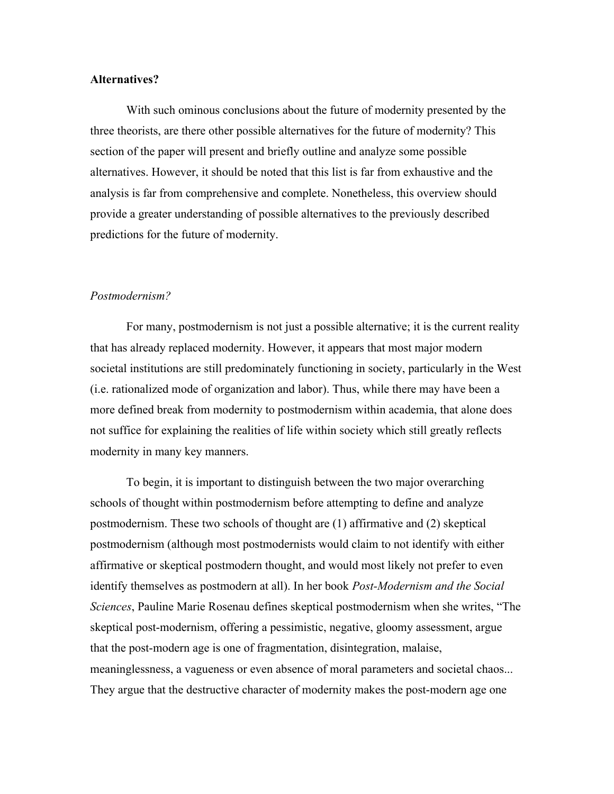#### **Alternatives?**

With such ominous conclusions about the future of modernity presented by the three theorists, are there other possible alternatives for the future of modernity? This section of the paper will present and briefly outline and analyze some possible alternatives. However, it should be noted that this list is far from exhaustive and the analysis is far from comprehensive and complete. Nonetheless, this overview should provide a greater understanding of possible alternatives to the previously described predictions for the future of modernity.

#### *Postmodernism?*

For many, postmodernism is not just a possible alternative; it is the current reality that has already replaced modernity. However, it appears that most major modern societal institutions are still predominately functioning in society, particularly in the West (i.e. rationalized mode of organization and labor). Thus, while there may have been a more defined break from modernity to postmodernism within academia, that alone does not suffice for explaining the realities of life within society which still greatly reflects modernity in many key manners.

To begin, it is important to distinguish between the two major overarching schools of thought within postmodernism before attempting to define and analyze postmodernism. These two schools of thought are (1) affirmative and (2) skeptical postmodernism (although most postmodernists would claim to not identify with either affirmative or skeptical postmodern thought, and would most likely not prefer to even identify themselves as postmodern at all). In her book *Post-Modernism and the Social Sciences*, Pauline Marie Rosenau defines skeptical postmodernism when she writes, "The skeptical post-modernism, offering a pessimistic, negative, gloomy assessment, argue that the post-modern age is one of fragmentation, disintegration, malaise, meaninglessness, a vagueness or even absence of moral parameters and societal chaos... They argue that the destructive character of modernity makes the post-modern age one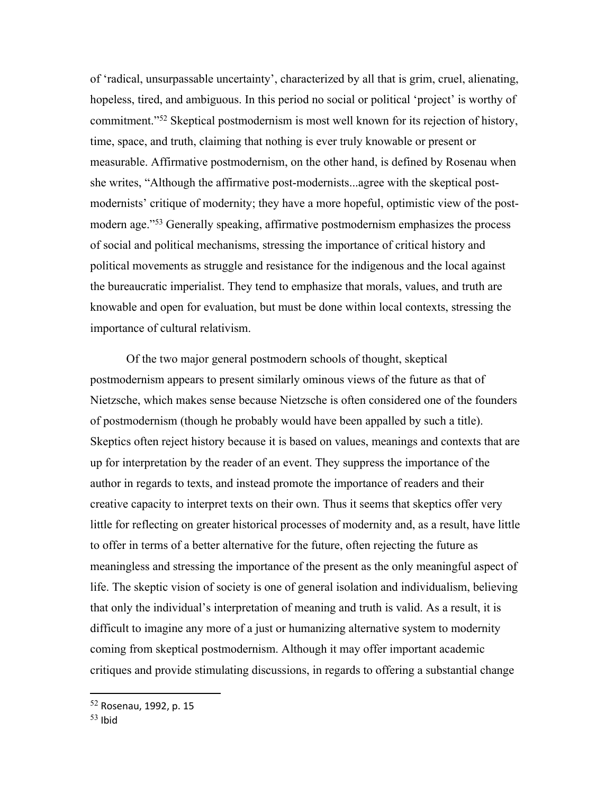of 'radical, unsurpassable uncertainty', characterized by all that is grim, cruel, alienating, hopeless, tired, and ambiguous. In this period no social or political 'project' is worthy of commitment."<sup>52</sup> Skeptical postmodernism is most well known for its rejection of history, time, space, and truth, claiming that nothing is ever truly knowable or present or measurable. Affirmative postmodernism, on the other hand, is defined by Rosenau when she writes, "Although the affirmative post-modernists...agree with the skeptical postmodernists' critique of modernity; they have a more hopeful, optimistic view of the postmodern age."<sup>53</sup> Generally speaking, affirmative postmodernism emphasizes the process of social and political mechanisms, stressing the importance of critical history and political movements as struggle and resistance for the indigenous and the local against the bureaucratic imperialist. They tend to emphasize that morals, values, and truth are knowable and open for evaluation, but must be done within local contexts, stressing the importance of cultural relativism.

Of the two major general postmodern schools of thought, skeptical postmodernism appears to present similarly ominous views of the future as that of Nietzsche, which makes sense because Nietzsche is often considered one of the founders of postmodernism (though he probably would have been appalled by such a title). Skeptics often reject history because it is based on values, meanings and contexts that are up for interpretation by the reader of an event. They suppress the importance of the author in regards to texts, and instead promote the importance of readers and their creative capacity to interpret texts on their own. Thus it seems that skeptics offer very little for reflecting on greater historical processes of modernity and, as a result, have little to offer in terms of a better alternative for the future, often rejecting the future as meaningless and stressing the importance of the present as the only meaningful aspect of life. The skeptic vision of society is one of general isolation and individualism, believing that only the individual's interpretation of meaning and truth is valid. As a result, it is difficult to imagine any more of a just or humanizing alternative system to modernity coming from skeptical postmodernism. Although it may offer important academic critiques and provide stimulating discussions, in regards to offering a substantial change

<sup>52</sup> Rosenau, 1992, p. 15

 $53$  Ibid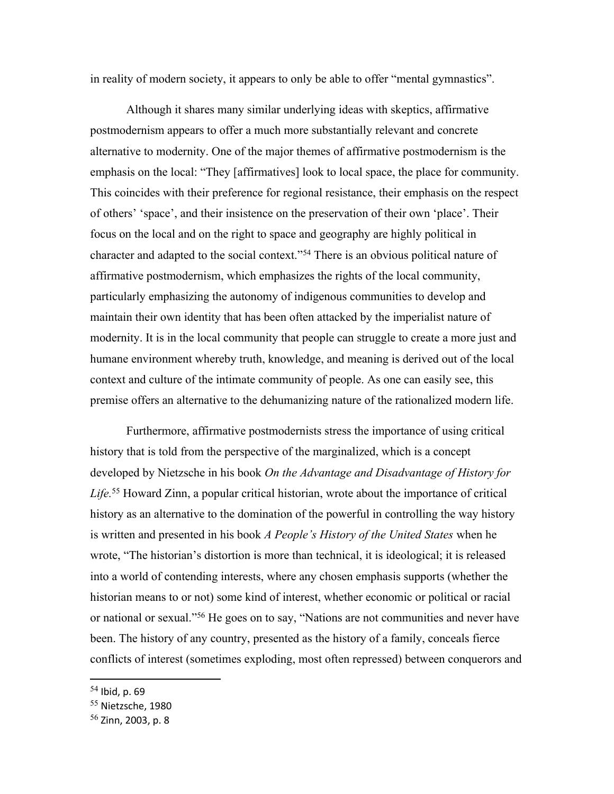in reality of modern society, it appears to only be able to offer "mental gymnastics".

Although it shares many similar underlying ideas with skeptics, affirmative postmodernism appears to offer a much more substantially relevant and concrete alternative to modernity. One of the major themes of affirmative postmodernism is the emphasis on the local: "They [affirmatives] look to local space, the place for community. This coincides with their preference for regional resistance, their emphasis on the respect of others' 'space', and their insistence on the preservation of their own 'place'. Their focus on the local and on the right to space and geography are highly political in character and adapted to the social context."<sup>54</sup> There is an obvious political nature of affirmative postmodernism, which emphasizes the rights of the local community, particularly emphasizing the autonomy of indigenous communities to develop and maintain their own identity that has been often attacked by the imperialist nature of modernity. It is in the local community that people can struggle to create a more just and humane environment whereby truth, knowledge, and meaning is derived out of the local context and culture of the intimate community of people. As one can easily see, this premise offers an alternative to the dehumanizing nature of the rationalized modern life.

Furthermore, affirmative postmodernists stress the importance of using critical history that is told from the perspective of the marginalized, which is a concept developed by Nietzsche in his book *On the Advantage and Disadvantage of History for Life.*<sup>55</sup> Howard Zinn, a popular critical historian, wrote about the importance of critical history as an alternative to the domination of the powerful in controlling the way history is written and presented in his book *A People's History of the United States* when he wrote, "The historian's distortion is more than technical, it is ideological; it is released into a world of contending interests, where any chosen emphasis supports (whether the historian means to or not) some kind of interest, whether economic or political or racial or national or sexual."<sup>56</sup> He goes on to say, "Nations are not communities and never have been. The history of any country, presented as the history of a family, conceals fierce conflicts of interest (sometimes exploding, most often repressed) between conquerors and

<sup>54</sup> Ibid, p. 69

<sup>55</sup> Nietzsche, 1980

 $56$  Zinn, 2003, p. 8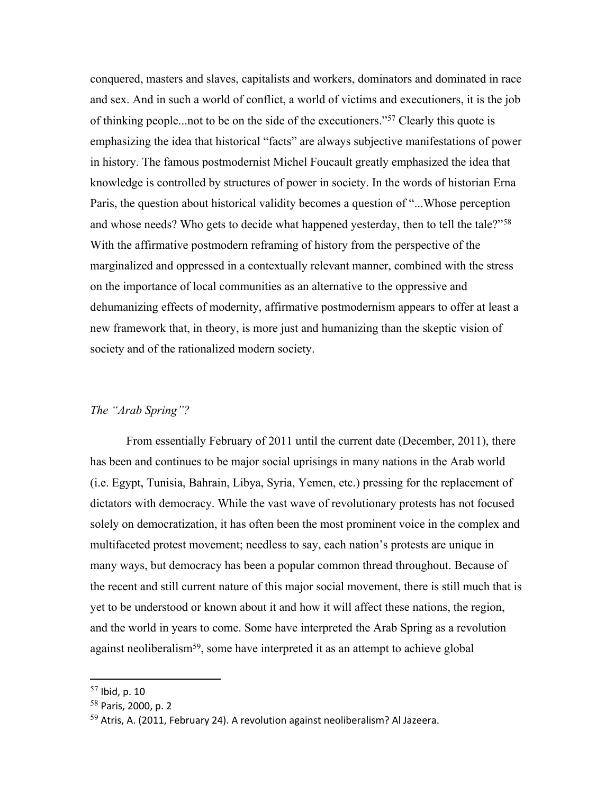conquered, masters and slaves, capitalists and workers, dominators and dominated in race and sex. And in such a world of conflict, a world of victims and executioners, it is the job of thinking people...not to be on the side of the executioners."<sup>57</sup> Clearly this quote is emphasizing the idea that historical "facts" are always subjective manifestations of power in history. The famous postmodernist Michel Foucault greatly emphasized the idea that knowledge is controlled by structures of power in society. In the words of historian Erna Paris, the question about historical validity becomes a question of "...Whose perception and whose needs? Who gets to decide what happened yesterday, then to tell the tale?"<sup>58</sup> With the affirmative postmodern reframing of history from the perspective of the marginalized and oppressed in a contextually relevant manner, combined with the stress on the importance of local communities as an alternative to the oppressive and dehumanizing effects of modernity, affirmative postmodernism appears to offer at least a new framework that, in theory, is more just and humanizing than the skeptic vision of society and of the rationalized modern society.

#### *The "Arab Spring"?*

From essentially February of 2011 until the current date (December, 2011), there has been and continues to be major social uprisings in many nations in the Arab world (i.e. Egypt, Tunisia, Bahrain, Libya, Syria, Yemen, etc.) pressing for the replacement of dictators with democracy. While the vast wave of revolutionary protests has not focused solely on democratization, it has often been the most prominent voice in the complex and multifaceted protest movement; needless to say, each nation's protests are unique in many ways, but democracy has been a popular common thread throughout. Because of the recent and still current nature of this major social movement, there is still much that is yet to be understood or known about it and how it will affect these nations, the region, and the world in years to come. Some have interpreted the Arab Spring as a revolution against neoliberalism<sup>59</sup>, some have interpreted it as an attempt to achieve global

<sup>57</sup> Ibid, p. 10

<sup>58</sup> Paris, 2000, p. 2

<sup>59</sup> Atris, A. (2011, February 24). A revolution against neoliberalism? Al Jazeera.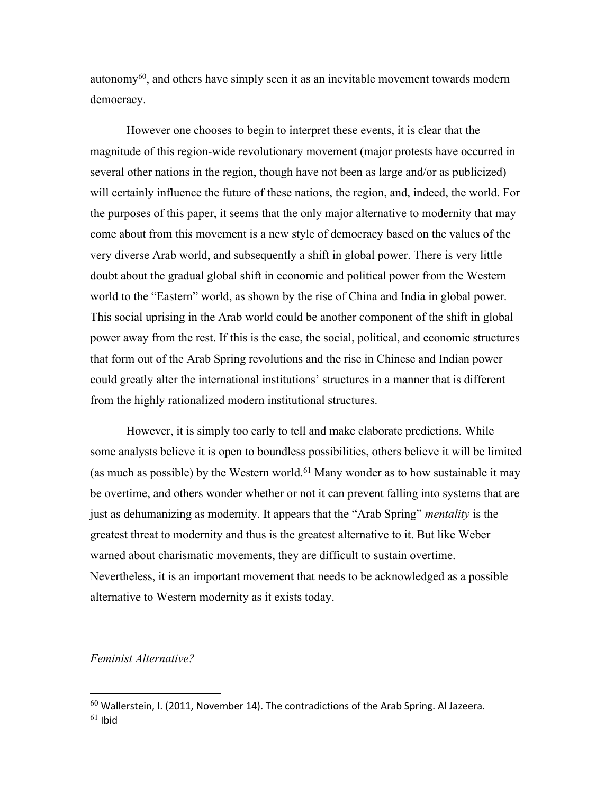autonomy $60$ , and others have simply seen it as an inevitable movement towards modern democracy.

However one chooses to begin to interpret these events, it is clear that the magnitude of this region-wide revolutionary movement (major protests have occurred in several other nations in the region, though have not been as large and/or as publicized) will certainly influence the future of these nations, the region, and, indeed, the world. For the purposes of this paper, it seems that the only major alternative to modernity that may come about from this movement is a new style of democracy based on the values of the very diverse Arab world, and subsequently a shift in global power. There is very little doubt about the gradual global shift in economic and political power from the Western world to the "Eastern" world, as shown by the rise of China and India in global power. This social uprising in the Arab world could be another component of the shift in global power away from the rest. If this is the case, the social, political, and economic structures that form out of the Arab Spring revolutions and the rise in Chinese and Indian power could greatly alter the international institutions' structures in a manner that is different from the highly rationalized modern institutional structures.

However, it is simply too early to tell and make elaborate predictions. While some analysts believe it is open to boundless possibilities, others believe it will be limited (as much as possible) by the Western world.<sup>61</sup> Many wonder as to how sustainable it may be overtime, and others wonder whether or not it can prevent falling into systems that are just as dehumanizing as modernity. It appears that the "Arab Spring" *mentality* is the greatest threat to modernity and thus is the greatest alternative to it. But like Weber warned about charismatic movements, they are difficult to sustain overtime. Nevertheless, it is an important movement that needs to be acknowledged as a possible alternative to Western modernity as it exists today.

#### *Feminist Alternative?*

 $60$  Wallerstein, I. (2011, November 14). The contradictions of the Arab Spring. Al Jazeera.  $61$  Ibid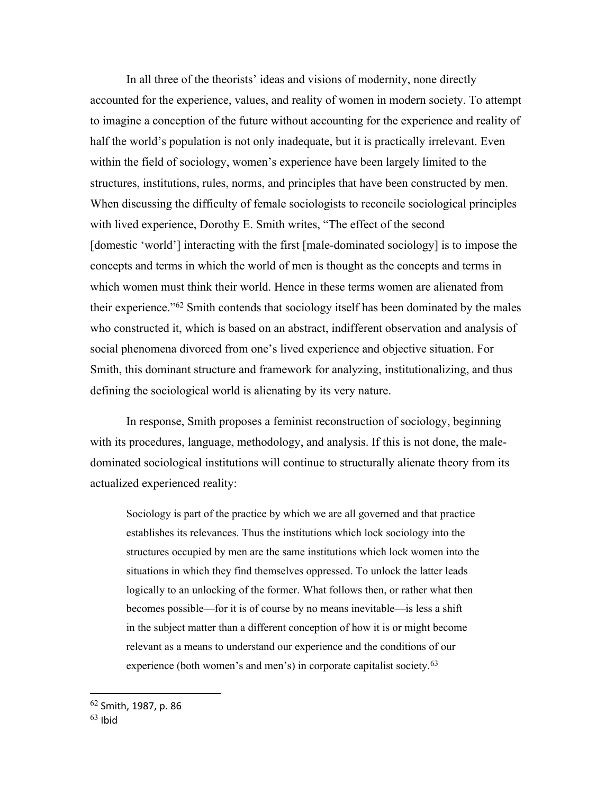In all three of the theorists' ideas and visions of modernity, none directly accounted for the experience, values, and reality of women in modern society. To attempt to imagine a conception of the future without accounting for the experience and reality of half the world's population is not only inadequate, but it is practically irrelevant. Even within the field of sociology, women's experience have been largely limited to the structures, institutions, rules, norms, and principles that have been constructed by men. When discussing the difficulty of female sociologists to reconcile sociological principles with lived experience, Dorothy E. Smith writes, "The effect of the second [domestic 'world'] interacting with the first [male-dominated sociology] is to impose the concepts and terms in which the world of men is thought as the concepts and terms in which women must think their world. Hence in these terms women are alienated from their experience."<sup>62</sup> Smith contends that sociology itself has been dominated by the males who constructed it, which is based on an abstract, indifferent observation and analysis of social phenomena divorced from one's lived experience and objective situation. For Smith, this dominant structure and framework for analyzing, institutionalizing, and thus defining the sociological world is alienating by its very nature.

In response, Smith proposes a feminist reconstruction of sociology, beginning with its procedures, language, methodology, and analysis. If this is not done, the maledominated sociological institutions will continue to structurally alienate theory from its actualized experienced reality:

Sociology is part of the practice by which we are all governed and that practice establishes its relevances. Thus the institutions which lock sociology into the structures occupied by men are the same institutions which lock women into the situations in which they find themselves oppressed. To unlock the latter leads logically to an unlocking of the former. What follows then, or rather what then becomes possible—for it is of course by no means inevitable—is less a shift in the subject matter than a different conception of how it is or might become relevant as a means to understand our experience and the conditions of our experience (both women's and men's) in corporate capitalist society.<sup>63</sup>

<sup>62</sup> Smith, 1987, p. 86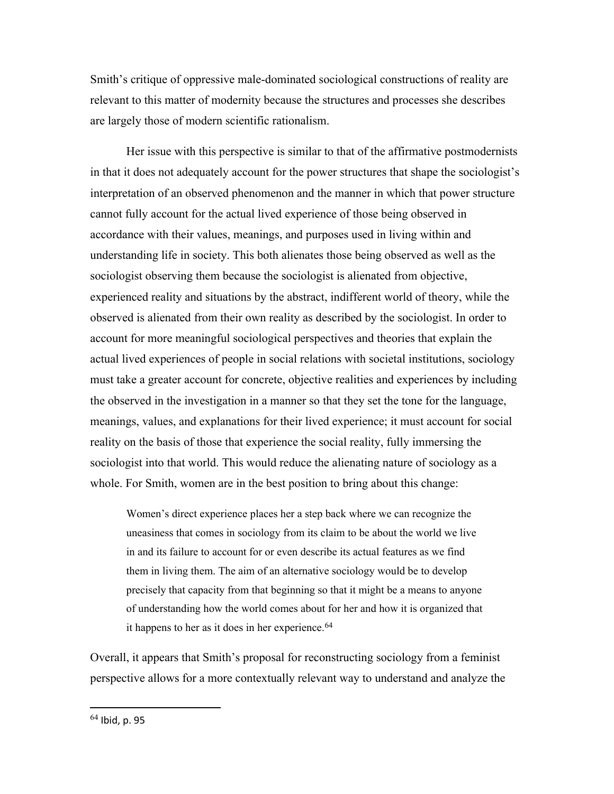Smith's critique of oppressive male-dominated sociological constructions of reality are relevant to this matter of modernity because the structures and processes she describes are largely those of modern scientific rationalism.

Her issue with this perspective is similar to that of the affirmative postmodernists in that it does not adequately account for the power structures that shape the sociologist's interpretation of an observed phenomenon and the manner in which that power structure cannot fully account for the actual lived experience of those being observed in accordance with their values, meanings, and purposes used in living within and understanding life in society. This both alienates those being observed as well as the sociologist observing them because the sociologist is alienated from objective, experienced reality and situations by the abstract, indifferent world of theory, while the observed is alienated from their own reality as described by the sociologist. In order to account for more meaningful sociological perspectives and theories that explain the actual lived experiences of people in social relations with societal institutions, sociology must take a greater account for concrete, objective realities and experiences by including the observed in the investigation in a manner so that they set the tone for the language, meanings, values, and explanations for their lived experience; it must account for social reality on the basis of those that experience the social reality, fully immersing the sociologist into that world. This would reduce the alienating nature of sociology as a whole. For Smith, women are in the best position to bring about this change:

Women's direct experience places her a step back where we can recognize the uneasiness that comes in sociology from its claim to be about the world we live in and its failure to account for or even describe its actual features as we find them in living them. The aim of an alternative sociology would be to develop precisely that capacity from that beginning so that it might be a means to anyone of understanding how the world comes about for her and how it is organized that it happens to her as it does in her experience.<sup>64</sup>

Overall, it appears that Smith's proposal for reconstructing sociology from a feminist perspective allows for a more contextually relevant way to understand and analyze the

 $64$  Ibid, p. 95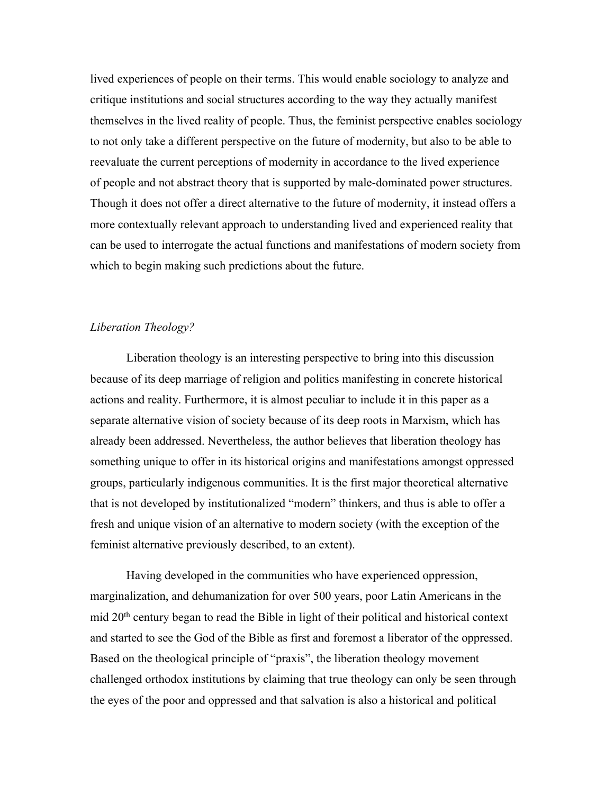lived experiences of people on their terms. This would enable sociology to analyze and critique institutions and social structures according to the way they actually manifest themselves in the lived reality of people. Thus, the feminist perspective enables sociology to not only take a different perspective on the future of modernity, but also to be able to reevaluate the current perceptions of modernity in accordance to the lived experience of people and not abstract theory that is supported by male-dominated power structures. Though it does not offer a direct alternative to the future of modernity, it instead offers a more contextually relevant approach to understanding lived and experienced reality that can be used to interrogate the actual functions and manifestations of modern society from which to begin making such predictions about the future.

#### *Liberation Theology?*

Liberation theology is an interesting perspective to bring into this discussion because of its deep marriage of religion and politics manifesting in concrete historical actions and reality. Furthermore, it is almost peculiar to include it in this paper as a separate alternative vision of society because of its deep roots in Marxism, which has already been addressed. Nevertheless, the author believes that liberation theology has something unique to offer in its historical origins and manifestations amongst oppressed groups, particularly indigenous communities. It is the first major theoretical alternative that is not developed by institutionalized "modern" thinkers, and thus is able to offer a fresh and unique vision of an alternative to modern society (with the exception of the feminist alternative previously described, to an extent).

Having developed in the communities who have experienced oppression, marginalization, and dehumanization for over 500 years, poor Latin Americans in the mid 20th century began to read the Bible in light of their political and historical context and started to see the God of the Bible as first and foremost a liberator of the oppressed. Based on the theological principle of "praxis", the liberation theology movement challenged orthodox institutions by claiming that true theology can only be seen through the eyes of the poor and oppressed and that salvation is also a historical and political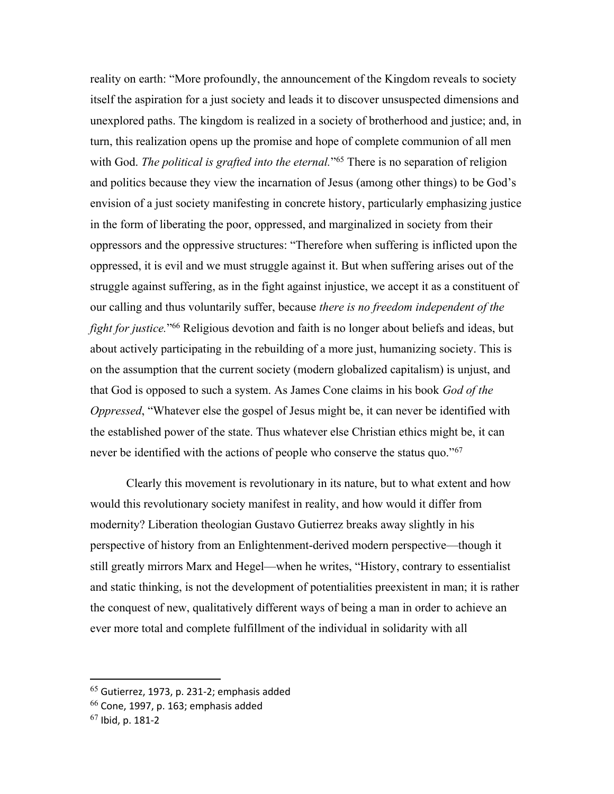reality on earth: "More profoundly, the announcement of the Kingdom reveals to society itself the aspiration for a just society and leads it to discover unsuspected dimensions and unexplored paths. The kingdom is realized in a society of brotherhood and justice; and, in turn, this realization opens up the promise and hope of complete communion of all men with God. *The political is grafted into the eternal.*" <sup>65</sup> There is no separation of religion and politics because they view the incarnation of Jesus (among other things) to be God's envision of a just society manifesting in concrete history, particularly emphasizing justice in the form of liberating the poor, oppressed, and marginalized in society from their oppressors and the oppressive structures: "Therefore when suffering is inflicted upon the oppressed, it is evil and we must struggle against it. But when suffering arises out of the struggle against suffering, as in the fight against injustice, we accept it as a constituent of our calling and thus voluntarily suffer, because *there is no freedom independent of the*  fight for justice."<sup>66</sup> Religious devotion and faith is no longer about beliefs and ideas, but about actively participating in the rebuilding of a more just, humanizing society. This is on the assumption that the current society (modern globalized capitalism) is unjust, and that God is opposed to such a system. As James Cone claims in his book *God of the Oppressed*, "Whatever else the gospel of Jesus might be, it can never be identified with the established power of the state. Thus whatever else Christian ethics might be, it can never be identified with the actions of people who conserve the status quo."<sup>67</sup>

Clearly this movement is revolutionary in its nature, but to what extent and how would this revolutionary society manifest in reality, and how would it differ from modernity? Liberation theologian Gustavo Gutierrez breaks away slightly in his perspective of history from an Enlightenment-derived modern perspective—though it still greatly mirrors Marx and Hegel—when he writes, "History, contrary to essentialist and static thinking, is not the development of potentialities preexistent in man; it is rather the conquest of new, qualitatively different ways of being a man in order to achieve an ever more total and complete fulfillment of the individual in solidarity with all

 $65$  Gutierrez, 1973, p. 231-2; emphasis added

 $66$  Cone, 1997, p. 163; emphasis added

 $67$  Ibid, p. 181-2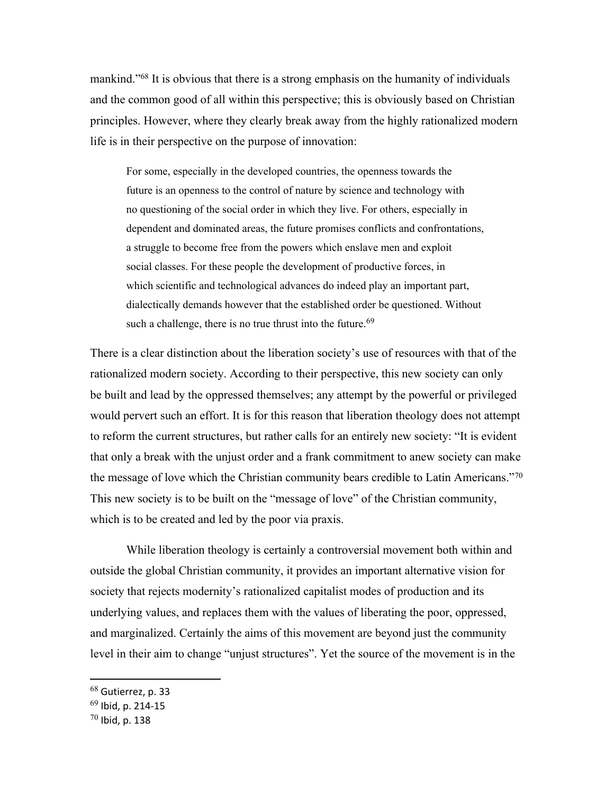mankind."<sup>68</sup> It is obvious that there is a strong emphasis on the humanity of individuals and the common good of all within this perspective; this is obviously based on Christian principles. However, where they clearly break away from the highly rationalized modern life is in their perspective on the purpose of innovation:

For some, especially in the developed countries, the openness towards the future is an openness to the control of nature by science and technology with no questioning of the social order in which they live. For others, especially in dependent and dominated areas, the future promises conflicts and confrontations, a struggle to become free from the powers which enslave men and exploit social classes. For these people the development of productive forces, in which scientific and technological advances do indeed play an important part, dialectically demands however that the established order be questioned. Without such a challenge, there is no true thrust into the future.<sup>69</sup>

There is a clear distinction about the liberation society's use of resources with that of the rationalized modern society. According to their perspective, this new society can only be built and lead by the oppressed themselves; any attempt by the powerful or privileged would pervert such an effort. It is for this reason that liberation theology does not attempt to reform the current structures, but rather calls for an entirely new society: "It is evident that only a break with the unjust order and a frank commitment to anew society can make the message of love which the Christian community bears credible to Latin Americans."<sup>70</sup> This new society is to be built on the "message of love" of the Christian community, which is to be created and led by the poor via praxis.

While liberation theology is certainly a controversial movement both within and outside the global Christian community, it provides an important alternative vision for society that rejects modernity's rationalized capitalist modes of production and its underlying values, and replaces them with the values of liberating the poor, oppressed, and marginalized. Certainly the aims of this movement are beyond just the community level in their aim to change "unjust structures". Yet the source of the movement is in the

<sup>68</sup> Gutierrez, p. 33

<sup>69</sup> Ibid, p. 214-15

 $70$  Ibid, p. 138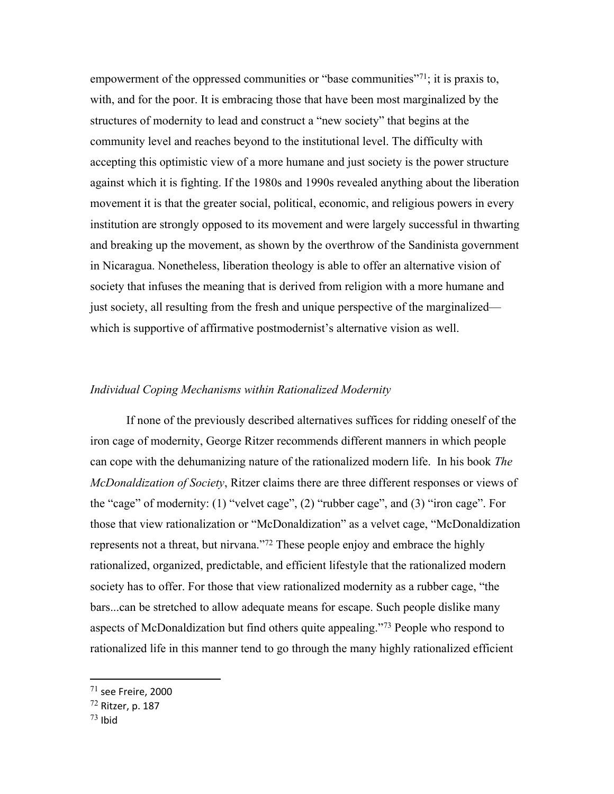empowerment of the oppressed communities or "base communities"<sup>71</sup>; it is praxis to, with, and for the poor. It is embracing those that have been most marginalized by the structures of modernity to lead and construct a "new society" that begins at the community level and reaches beyond to the institutional level. The difficulty with accepting this optimistic view of a more humane and just society is the power structure against which it is fighting. If the 1980s and 1990s revealed anything about the liberation movement it is that the greater social, political, economic, and religious powers in every institution are strongly opposed to its movement and were largely successful in thwarting and breaking up the movement, as shown by the overthrow of the Sandinista government in Nicaragua. Nonetheless, liberation theology is able to offer an alternative vision of society that infuses the meaning that is derived from religion with a more humane and just society, all resulting from the fresh and unique perspective of the marginalized which is supportive of affirmative postmodernist's alternative vision as well.

#### *Individual Coping Mechanisms within Rationalized Modernity*

If none of the previously described alternatives suffices for ridding oneself of the iron cage of modernity, George Ritzer recommends different manners in which people can cope with the dehumanizing nature of the rationalized modern life. In his book *The McDonaldization of Society*, Ritzer claims there are three different responses or views of the "cage" of modernity: (1) "velvet cage", (2) "rubber cage", and (3) "iron cage". For those that view rationalization or "McDonaldization" as a velvet cage, "McDonaldization represents not a threat, but nirvana."<sup>72</sup> These people enjoy and embrace the highly rationalized, organized, predictable, and efficient lifestyle that the rationalized modern society has to offer. For those that view rationalized modernity as a rubber cage, "the bars...can be stretched to allow adequate means for escape. Such people dislike many aspects of McDonaldization but find others quite appealing."<sup>73</sup> People who respond to rationalized life in this manner tend to go through the many highly rationalized efficient

<sup>71</sup> see Freire, 2000

<sup>72</sup> Ritzer, p. 187

 $73$  Ibid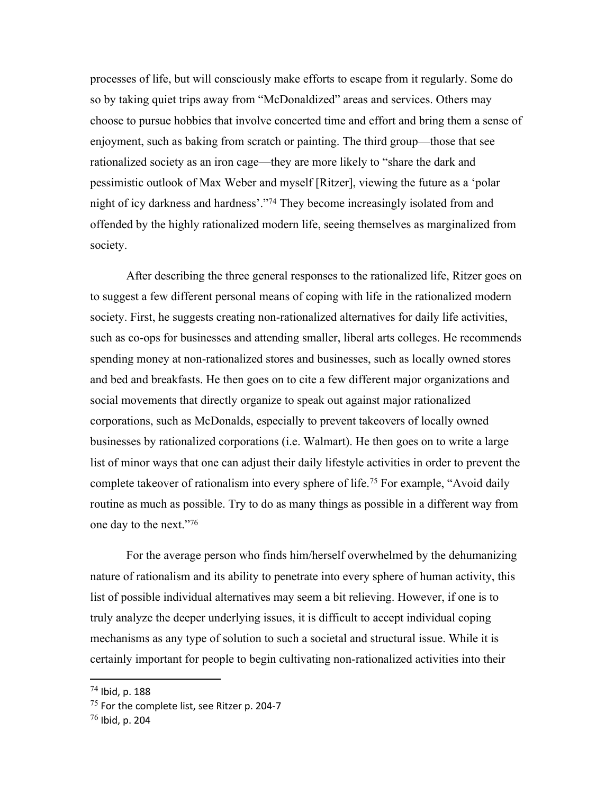processes of life, but will consciously make efforts to escape from it regularly. Some do so by taking quiet trips away from "McDonaldized" areas and services. Others may choose to pursue hobbies that involve concerted time and effort and bring them a sense of enjoyment, such as baking from scratch or painting. The third group—those that see rationalized society as an iron cage—they are more likely to "share the dark and pessimistic outlook of Max Weber and myself [Ritzer], viewing the future as a 'polar night of icy darkness and hardness'."<sup>74</sup> They become increasingly isolated from and offended by the highly rationalized modern life, seeing themselves as marginalized from society.

After describing the three general responses to the rationalized life, Ritzer goes on to suggest a few different personal means of coping with life in the rationalized modern society. First, he suggests creating non-rationalized alternatives for daily life activities, such as co-ops for businesses and attending smaller, liberal arts colleges. He recommends spending money at non-rationalized stores and businesses, such as locally owned stores and bed and breakfasts. He then goes on to cite a few different major organizations and social movements that directly organize to speak out against major rationalized corporations, such as McDonalds, especially to prevent takeovers of locally owned businesses by rationalized corporations (i.e. Walmart). He then goes on to write a large list of minor ways that one can adjust their daily lifestyle activities in order to prevent the complete takeover of rationalism into every sphere of life.<sup>75</sup> For example, "Avoid daily routine as much as possible. Try to do as many things as possible in a different way from one day to the next."<sup>76</sup>

For the average person who finds him/herself overwhelmed by the dehumanizing nature of rationalism and its ability to penetrate into every sphere of human activity, this list of possible individual alternatives may seem a bit relieving. However, if one is to truly analyze the deeper underlying issues, it is difficult to accept individual coping mechanisms as any type of solution to such a societal and structural issue. While it is certainly important for people to begin cultivating non-rationalized activities into their

<sup>74</sup> Ibid, p. 188

<sup>&</sup>lt;sup>75</sup> For the complete list, see Ritzer p. 204-7

 $76$  Ibid, p. 204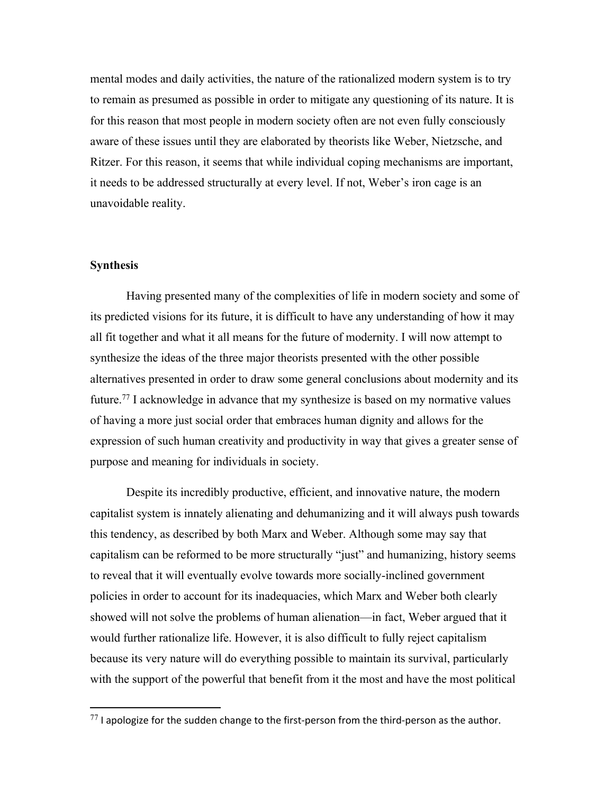mental modes and daily activities, the nature of the rationalized modern system is to try to remain as presumed as possible in order to mitigate any questioning of its nature. It is for this reason that most people in modern society often are not even fully consciously aware of these issues until they are elaborated by theorists like Weber, Nietzsche, and Ritzer. For this reason, it seems that while individual coping mechanisms are important, it needs to be addressed structurally at every level. If not, Weber's iron cage is an unavoidable reality.

#### **Synthesis**

Having presented many of the complexities of life in modern society and some of its predicted visions for its future, it is difficult to have any understanding of how it may all fit together and what it all means for the future of modernity. I will now attempt to synthesize the ideas of the three major theorists presented with the other possible alternatives presented in order to draw some general conclusions about modernity and its future.<sup>77</sup> I acknowledge in advance that my synthesize is based on my normative values of having a more just social order that embraces human dignity and allows for the expression of such human creativity and productivity in way that gives a greater sense of purpose and meaning for individuals in society.

Despite its incredibly productive, efficient, and innovative nature, the modern capitalist system is innately alienating and dehumanizing and it will always push towards this tendency, as described by both Marx and Weber. Although some may say that capitalism can be reformed to be more structurally "just" and humanizing, history seems to reveal that it will eventually evolve towards more socially-inclined government policies in order to account for its inadequacies, which Marx and Weber both clearly showed will not solve the problems of human alienation—in fact, Weber argued that it would further rationalize life. However, it is also difficult to fully reject capitalism because its very nature will do everything possible to maintain its survival, particularly with the support of the powerful that benefit from it the most and have the most political

 $^{77}$  I apologize for the sudden change to the first-person from the third-person as the author.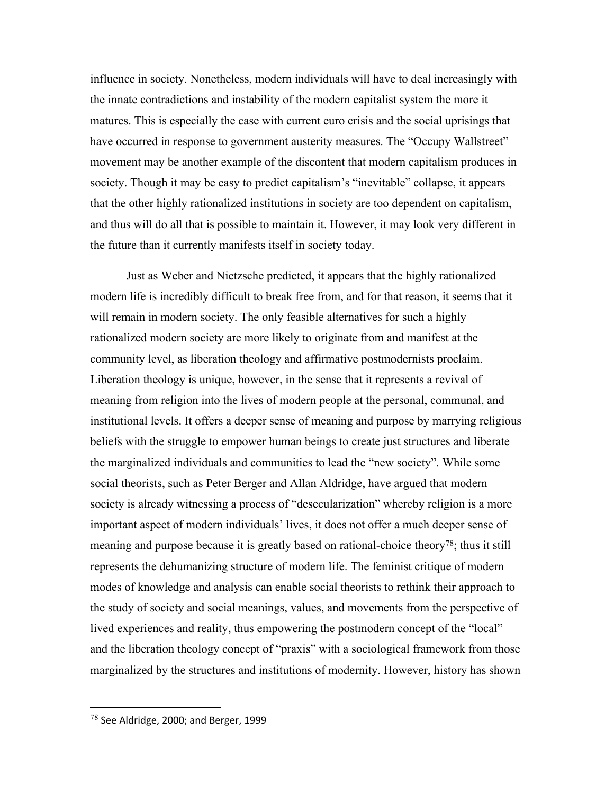influence in society. Nonetheless, modern individuals will have to deal increasingly with the innate contradictions and instability of the modern capitalist system the more it matures. This is especially the case with current euro crisis and the social uprisings that have occurred in response to government austerity measures. The "Occupy Wallstreet" movement may be another example of the discontent that modern capitalism produces in society. Though it may be easy to predict capitalism's "inevitable" collapse, it appears that the other highly rationalized institutions in society are too dependent on capitalism, and thus will do all that is possible to maintain it. However, it may look very different in the future than it currently manifests itself in society today.

Just as Weber and Nietzsche predicted, it appears that the highly rationalized modern life is incredibly difficult to break free from, and for that reason, it seems that it will remain in modern society. The only feasible alternatives for such a highly rationalized modern society are more likely to originate from and manifest at the community level, as liberation theology and affirmative postmodernists proclaim. Liberation theology is unique, however, in the sense that it represents a revival of meaning from religion into the lives of modern people at the personal, communal, and institutional levels. It offers a deeper sense of meaning and purpose by marrying religious beliefs with the struggle to empower human beings to create just structures and liberate the marginalized individuals and communities to lead the "new society". While some social theorists, such as Peter Berger and Allan Aldridge, have argued that modern society is already witnessing a process of "desecularization" whereby religion is a more important aspect of modern individuals' lives, it does not offer a much deeper sense of meaning and purpose because it is greatly based on rational-choice theory<sup>78</sup>; thus it still represents the dehumanizing structure of modern life. The feminist critique of modern modes of knowledge and analysis can enable social theorists to rethink their approach to the study of society and social meanings, values, and movements from the perspective of lived experiences and reality, thus empowering the postmodern concept of the "local" and the liberation theology concept of "praxis" with a sociological framework from those marginalized by the structures and institutions of modernity. However, history has shown

 $78$  See Aldridge, 2000; and Berger, 1999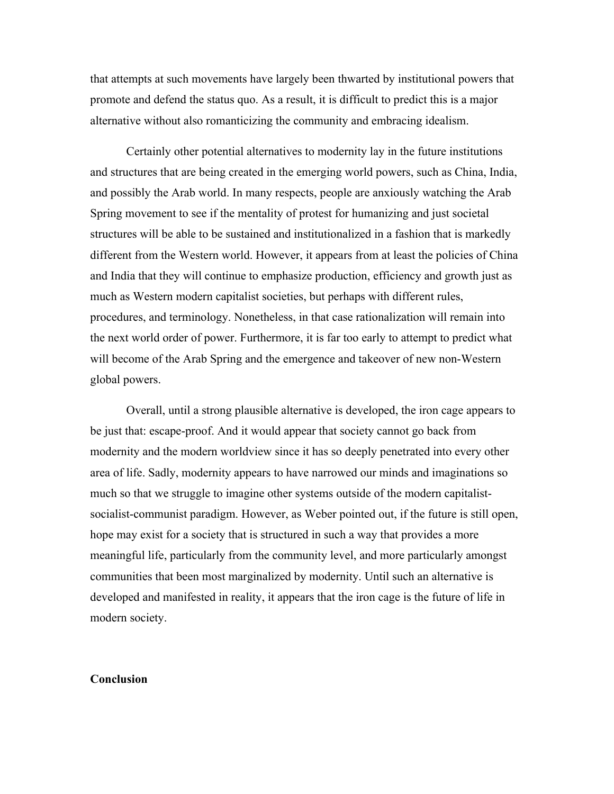that attempts at such movements have largely been thwarted by institutional powers that promote and defend the status quo. As a result, it is difficult to predict this is a major alternative without also romanticizing the community and embracing idealism.

Certainly other potential alternatives to modernity lay in the future institutions and structures that are being created in the emerging world powers, such as China, India, and possibly the Arab world. In many respects, people are anxiously watching the Arab Spring movement to see if the mentality of protest for humanizing and just societal structures will be able to be sustained and institutionalized in a fashion that is markedly different from the Western world. However, it appears from at least the policies of China and India that they will continue to emphasize production, efficiency and growth just as much as Western modern capitalist societies, but perhaps with different rules, procedures, and terminology. Nonetheless, in that case rationalization will remain into the next world order of power. Furthermore, it is far too early to attempt to predict what will become of the Arab Spring and the emergence and takeover of new non-Western global powers.

Overall, until a strong plausible alternative is developed, the iron cage appears to be just that: escape-proof. And it would appear that society cannot go back from modernity and the modern worldview since it has so deeply penetrated into every other area of life. Sadly, modernity appears to have narrowed our minds and imaginations so much so that we struggle to imagine other systems outside of the modern capitalistsocialist-communist paradigm. However, as Weber pointed out, if the future is still open, hope may exist for a society that is structured in such a way that provides a more meaningful life, particularly from the community level, and more particularly amongst communities that been most marginalized by modernity. Until such an alternative is developed and manifested in reality, it appears that the iron cage is the future of life in modern society.

#### **Conclusion**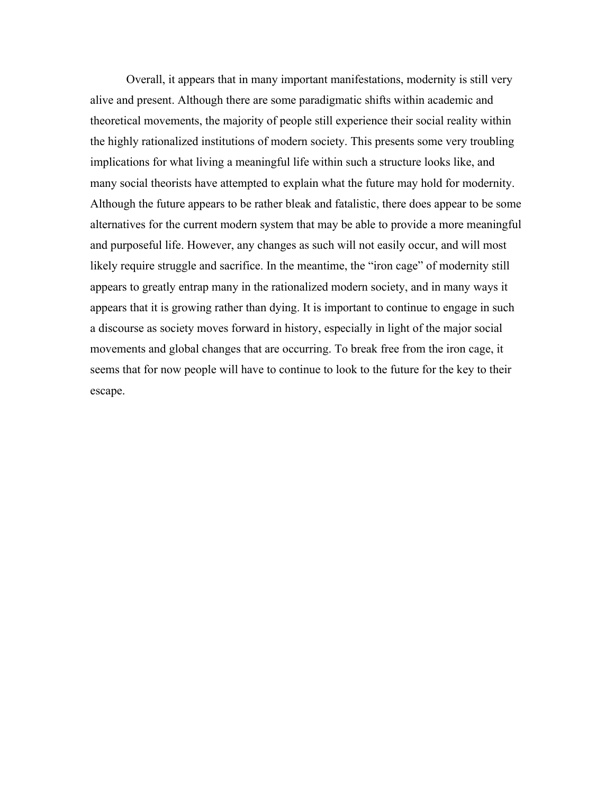Overall, it appears that in many important manifestations, modernity is still very alive and present. Although there are some paradigmatic shifts within academic and theoretical movements, the majority of people still experience their social reality within the highly rationalized institutions of modern society. This presents some very troubling implications for what living a meaningful life within such a structure looks like, and many social theorists have attempted to explain what the future may hold for modernity. Although the future appears to be rather bleak and fatalistic, there does appear to be some alternatives for the current modern system that may be able to provide a more meaningful and purposeful life. However, any changes as such will not easily occur, and will most likely require struggle and sacrifice. In the meantime, the "iron cage" of modernity still appears to greatly entrap many in the rationalized modern society, and in many ways it appears that it is growing rather than dying. It is important to continue to engage in such a discourse as society moves forward in history, especially in light of the major social movements and global changes that are occurring. To break free from the iron cage, it seems that for now people will have to continue to look to the future for the key to their escape.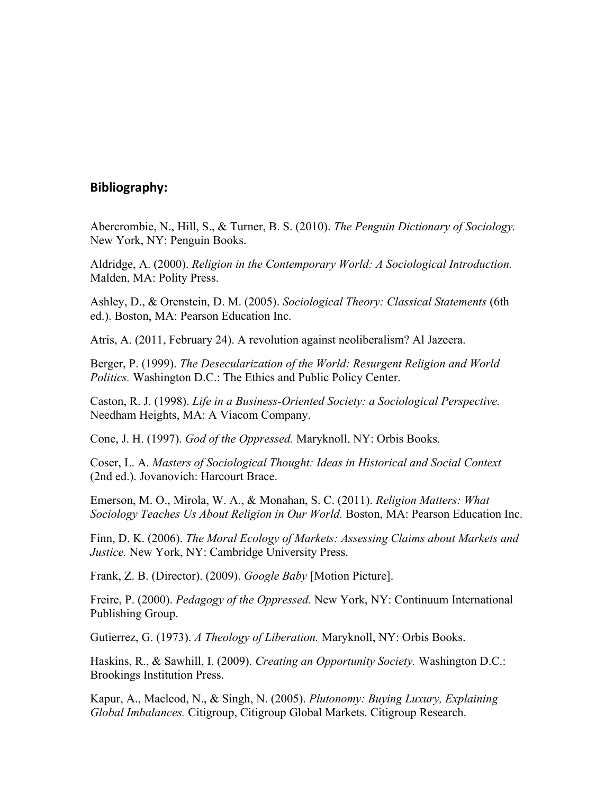#### **Bibliography:**

Abercrombie, N., Hill, S., & Turner, B. S. (2010). *The Penguin Dictionary of Sociology.* New York, NY: Penguin Books.

Aldridge, A. (2000). *Religion in the Contemporary World: A Sociological Introduction.* Malden, MA: Polity Press.

Ashley, D., & Orenstein, D. M. (2005). *Sociological Theory: Classical Statements* (6th ed.). Boston, MA: Pearson Education Inc.

Atris, A. (2011, February 24). A revolution against neoliberalism? Al Jazeera.

Berger, P. (1999). *The Desecularization of the World: Resurgent Religion and World Politics.* Washington D.C.: The Ethics and Public Policy Center.

Caston, R. J. (1998). *Life in a Business-Oriented Society: a Sociological Perspective.* Needham Heights, MA: A Viacom Company.

Cone, J. H. (1997). *God of the Oppressed.* Maryknoll, NY: Orbis Books.

Coser, L. A. *Masters of Sociological Thought: Ideas in Historical and Social Context* (2nd ed.). Jovanovich: Harcourt Brace.

Emerson, M. O., Mirola, W. A., & Monahan, S. C. (2011). *Religion Matters: What Sociology Teaches Us About Religion in Our World.* Boston, MA: Pearson Education Inc.

Finn, D. K. (2006). *The Moral Ecology of Markets: Assessing Claims about Markets and Justice.* New York, NY: Cambridge University Press.

Frank, Z. B. (Director). (2009). *Google Baby* [Motion Picture].

Freire, P. (2000). *Pedagogy of the Oppressed.* New York, NY: Continuum International Publishing Group.

Gutierrez, G. (1973). *A Theology of Liberation.* Maryknoll, NY: Orbis Books.

Haskins, R., & Sawhill, I. (2009). *Creating an Opportunity Society.* Washington D.C.: Brookings Institution Press.

Kapur, A., Macleod, N., & Singh, N. (2005). *Plutonomy: Buying Luxury, Explaining Global Imbalances.* Citigroup, Citigroup Global Markets. Citigroup Research.